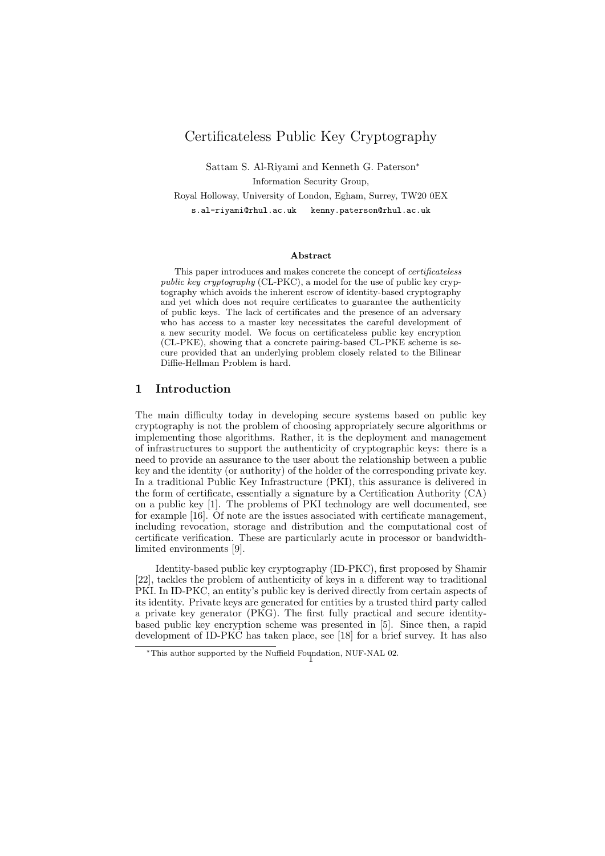# Certificateless Public Key Cryptography

Sattam S. Al-Riyami and Kenneth G. Paterson<sup>∗</sup> Information Security Group,

Royal Holloway, University of London, Egham, Surrey, TW20 0EX

s.al-riyami@rhul.ac.uk kenny.paterson@rhul.ac.uk

#### Abstract

This paper introduces and makes concrete the concept of certificateless public key cryptography (CL-PKC), a model for the use of public key cryptography which avoids the inherent escrow of identity-based cryptography and yet which does not require certificates to guarantee the authenticity of public keys. The lack of certificates and the presence of an adversary who has access to a master key necessitates the careful development of a new security model. We focus on certificateless public key encryption (CL-PKE), showing that a concrete pairing-based CL-PKE scheme is secure provided that an underlying problem closely related to the Bilinear Diffie-Hellman Problem is hard.

## 1 Introduction

The main difficulty today in developing secure systems based on public key cryptography is not the problem of choosing appropriately secure algorithms or implementing those algorithms. Rather, it is the deployment and management of infrastructures to support the authenticity of cryptographic keys: there is a need to provide an assurance to the user about the relationship between a public key and the identity (or authority) of the holder of the corresponding private key. In a traditional Public Key Infrastructure (PKI), this assurance is delivered in the form of certificate, essentially a signature by a Certification Authority (CA) on a public key [1]. The problems of PKI technology are well documented, see for example [16]. Of note are the issues associated with certificate management, including revocation, storage and distribution and the computational cost of certificate verification. These are particularly acute in processor or bandwidthlimited environments [9].

Identity-based public key cryptography (ID-PKC), first proposed by Shamir [22], tackles the problem of authenticity of keys in a different way to traditional PKI. In ID-PKC, an entity's public key is derived directly from certain aspects of its identity. Private keys are generated for entities by a trusted third party called a private key generator (PKG). The first fully practical and secure identitybased public key encryption scheme was presented in [5]. Since then, a rapid development of ID-PKC has taken place, see [18] for a brief survey. It has also

<sup>∗</sup>This author supported by the Nuffield Foundation, NUF-NAL 02. <sup>1</sup>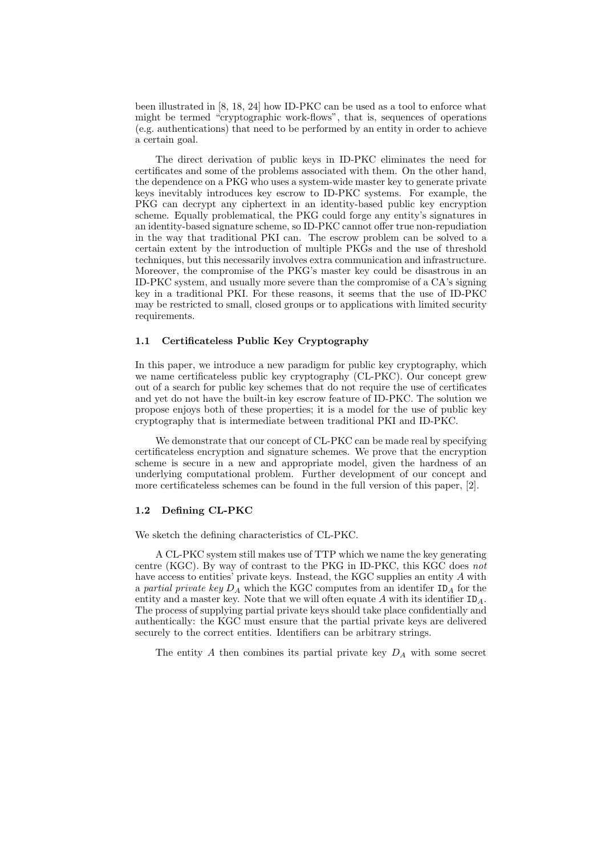been illustrated in [8, 18, 24] how ID-PKC can be used as a tool to enforce what might be termed "cryptographic work-flows", that is, sequences of operations (e.g. authentications) that need to be performed by an entity in order to achieve a certain goal.

The direct derivation of public keys in ID-PKC eliminates the need for certificates and some of the problems associated with them. On the other hand, the dependence on a PKG who uses a system-wide master key to generate private keys inevitably introduces key escrow to ID-PKC systems. For example, the PKG can decrypt any ciphertext in an identity-based public key encryption scheme. Equally problematical, the PKG could forge any entity's signatures in an identity-based signature scheme, so ID-PKC cannot offer true non-repudiation in the way that traditional PKI can. The escrow problem can be solved to a certain extent by the introduction of multiple PKGs and the use of threshold techniques, but this necessarily involves extra communication and infrastructure. Moreover, the compromise of the PKG's master key could be disastrous in an ID-PKC system, and usually more severe than the compromise of a CA's signing key in a traditional PKI. For these reasons, it seems that the use of ID-PKC may be restricted to small, closed groups or to applications with limited security requirements.

#### 1.1 Certificateless Public Key Cryptography

In this paper, we introduce a new paradigm for public key cryptography, which we name certificateless public key cryptography (CL-PKC). Our concept grew out of a search for public key schemes that do not require the use of certificates and yet do not have the built-in key escrow feature of ID-PKC. The solution we propose enjoys both of these properties; it is a model for the use of public key cryptography that is intermediate between traditional PKI and ID-PKC.

We demonstrate that our concept of CL-PKC can be made real by specifying certificateless encryption and signature schemes. We prove that the encryption scheme is secure in a new and appropriate model, given the hardness of an underlying computational problem. Further development of our concept and more certificateless schemes can be found in the full version of this paper, [2].

#### 1.2 Defining CL-PKC

We sketch the defining characteristics of CL-PKC.

A CL-PKC system still makes use of TTP which we name the key generating centre (KGC). By way of contrast to the PKG in ID-PKC, this KGC does not have access to entities' private keys. Instead, the KGC supplies an entity A with a partial private key  $D_A$  which the KGC computes from an identifer  $ID_A$  for the entity and a master key. Note that we will often equate  $A$  with its identifier  $ID_A$ . The process of supplying partial private keys should take place confidentially and authentically: the KGC must ensure that the partial private keys are delivered securely to the correct entities. Identifiers can be arbitrary strings.

The entity  $A$  then combines its partial private key  $D_A$  with some secret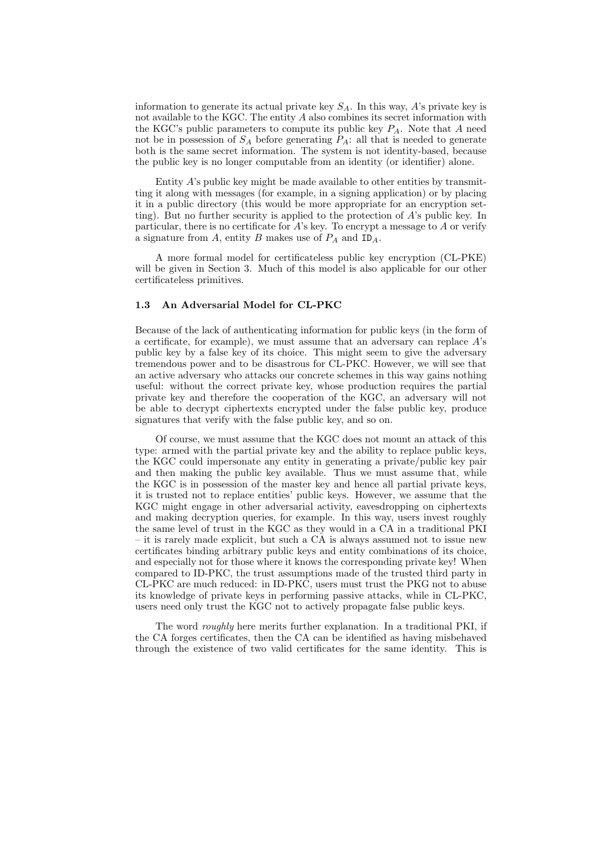information to generate its actual private key  $S_A$ . In this way, A's private key is not available to the KGC. The entity A also combines its secret information with the KGC's public parameters to compute its public key  $P_A$ . Note that A need not be in possession of  $S_A$  before generating  $P_A$ : all that is needed to generate both is the same secret information. The system is not identity-based, because the public key is no longer computable from an identity (or identifier) alone.

Entity  $A$ 's public key might be made available to other entities by transmitting it along with messages (for example, in a signing application) or by placing it in a public directory (this would be more appropriate for an encryption setting). But no further security is applied to the protection of A's public key. In particular, there is no certificate for A's key. To encrypt a message to A or verify a signature from  $A$ , entity  $B$  makes use of  $P_A$  and  $ID_A$ .

A more formal model for certificateless public key encryption (CL-PKE) will be given in Section 3. Much of this model is also applicable for our other certificateless primitives.

## 1.3 An Adversarial Model for CL-PKC

Because of the lack of authenticating information for public keys (in the form of a certificate, for example), we must assume that an adversary can replace  $A$ 's public key by a false key of its choice. This might seem to give the adversary tremendous power and to be disastrous for CL-PKC. However, we will see that an active adversary who attacks our concrete schemes in this way gains nothing useful: without the correct private key, whose production requires the partial private key and therefore the cooperation of the KGC, an adversary will not be able to decrypt ciphertexts encrypted under the false public key, produce signatures that verify with the false public key, and so on.

Of course, we must assume that the KGC does not mount an attack of this type: armed with the partial private key and the ability to replace public keys, the KGC could impersonate any entity in generating a private/public key pair and then making the public key available. Thus we must assume that, while the KGC is in possession of the master key and hence all partial private keys, it is trusted not to replace entities' public keys. However, we assume that the KGC might engage in other adversarial activity, eavesdropping on ciphertexts and making decryption queries, for example. In this way, users invest roughly the same level of trust in the KGC as they would in a CA in a traditional PKI – it is rarely made explicit, but such a CA is always assumed not to issue new certificates binding arbitrary public keys and entity combinations of its choice, and especially not for those where it knows the corresponding private key! When compared to ID-PKC, the trust assumptions made of the trusted third party in CL-PKC are much reduced: in ID-PKC, users must trust the PKG not to abuse its knowledge of private keys in performing passive attacks, while in CL-PKC, users need only trust the KGC not to actively propagate false public keys.

The word roughly here merits further explanation. In a traditional PKI, if the CA forges certificates, then the CA can be identified as having misbehaved through the existence of two valid certificates for the same identity. This is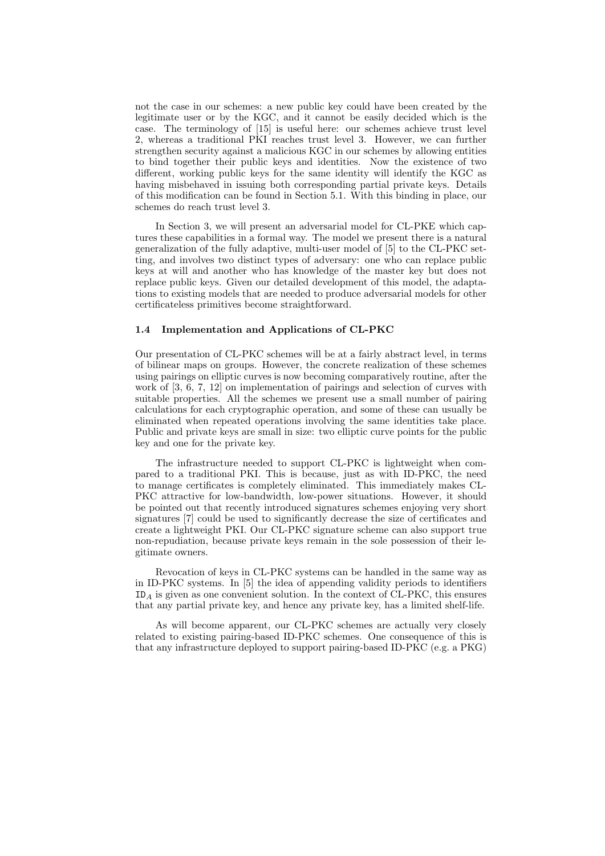not the case in our schemes: a new public key could have been created by the legitimate user or by the KGC, and it cannot be easily decided which is the case. The terminology of [15] is useful here: our schemes achieve trust level 2, whereas a traditional PKI reaches trust level 3. However, we can further strengthen security against a malicious KGC in our schemes by allowing entities to bind together their public keys and identities. Now the existence of two different, working public keys for the same identity will identify the KGC as having misbehaved in issuing both corresponding partial private keys. Details of this modification can be found in Section 5.1. With this binding in place, our schemes do reach trust level 3.

In Section 3, we will present an adversarial model for CL-PKE which captures these capabilities in a formal way. The model we present there is a natural generalization of the fully adaptive, multi-user model of [5] to the CL-PKC setting, and involves two distinct types of adversary: one who can replace public keys at will and another who has knowledge of the master key but does not replace public keys. Given our detailed development of this model, the adaptations to existing models that are needed to produce adversarial models for other certificateless primitives become straightforward.

#### 1.4 Implementation and Applications of CL-PKC

Our presentation of CL-PKC schemes will be at a fairly abstract level, in terms of bilinear maps on groups. However, the concrete realization of these schemes using pairings on elliptic curves is now becoming comparatively routine, after the work of [3, 6, 7, 12] on implementation of pairings and selection of curves with suitable properties. All the schemes we present use a small number of pairing calculations for each cryptographic operation, and some of these can usually be eliminated when repeated operations involving the same identities take place. Public and private keys are small in size: two elliptic curve points for the public key and one for the private key.

The infrastructure needed to support CL-PKC is lightweight when compared to a traditional PKI. This is because, just as with ID-PKC, the need to manage certificates is completely eliminated. This immediately makes CL-PKC attractive for low-bandwidth, low-power situations. However, it should be pointed out that recently introduced signatures schemes enjoying very short signatures [7] could be used to significantly decrease the size of certificates and create a lightweight PKI. Our CL-PKC signature scheme can also support true non-repudiation, because private keys remain in the sole possession of their legitimate owners.

Revocation of keys in CL-PKC systems can be handled in the same way as in ID-PKC systems. In [5] the idea of appending validity periods to identifiers ID<sup>A</sup> is given as one convenient solution. In the context of CL-PKC, this ensures that any partial private key, and hence any private key, has a limited shelf-life.

As will become apparent, our CL-PKC schemes are actually very closely related to existing pairing-based ID-PKC schemes. One consequence of this is that any infrastructure deployed to support pairing-based ID-PKC (e.g. a PKG)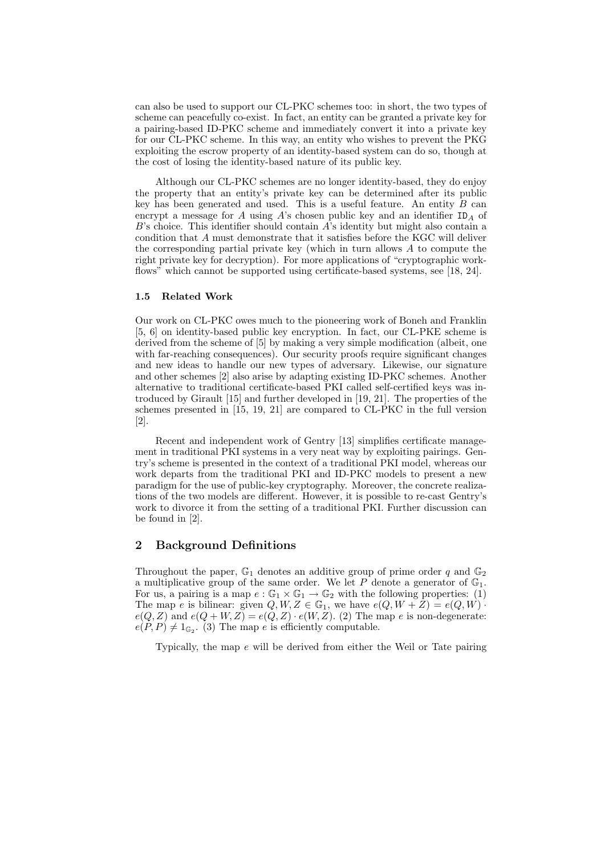can also be used to support our CL-PKC schemes too: in short, the two types of scheme can peacefully co-exist. In fact, an entity can be granted a private key for a pairing-based ID-PKC scheme and immediately convert it into a private key for our CL-PKC scheme. In this way, an entity who wishes to prevent the PKG exploiting the escrow property of an identity-based system can do so, though at the cost of losing the identity-based nature of its public key.

Although our CL-PKC schemes are no longer identity-based, they do enjoy the property that an entity's private key can be determined after its public key has been generated and used. This is a useful feature. An entity  $B$  can encrypt a message for  $A$  using  $A$ 's chosen public key and an identifier  $ID<sub>A</sub>$  of  $B$ 's choice. This identifier should contain  $A$ 's identity but might also contain a condition that A must demonstrate that it satisfies before the KGC will deliver the corresponding partial private key (which in turn allows A to compute the right private key for decryption). For more applications of "cryptographic workflows" which cannot be supported using certificate-based systems, see [18, 24].

#### 1.5 Related Work

Our work on CL-PKC owes much to the pioneering work of Boneh and Franklin [5, 6] on identity-based public key encryption. In fact, our CL-PKE scheme is derived from the scheme of [5] by making a very simple modification (albeit, one with far-reaching consequences). Our security proofs require significant changes and new ideas to handle our new types of adversary. Likewise, our signature and other schemes [2] also arise by adapting existing ID-PKC schemes. Another alternative to traditional certificate-based PKI called self-certified keys was introduced by Girault [15] and further developed in [19, 21]. The properties of the schemes presented in [15, 19, 21] are compared to CL-PKC in the full version [2].

Recent and independent work of Gentry [13] simplifies certificate management in traditional PKI systems in a very neat way by exploiting pairings. Gentry's scheme is presented in the context of a traditional PKI model, whereas our work departs from the traditional PKI and ID-PKC models to present a new paradigm for the use of public-key cryptography. Moreover, the concrete realizations of the two models are different. However, it is possible to re-cast Gentry's work to divorce it from the setting of a traditional PKI. Further discussion can be found in [2].

#### 2 Background Definitions

Throughout the paper,  $\mathbb{G}_1$  denotes an additive group of prime order q and  $\mathbb{G}_2$ a multiplicative group of the same order. We let  $P$  denote a generator of  $\mathbb{G}_1$ . For us, a pairing is a map  $e : \mathbb{G}_1 \times \mathbb{G}_1 \to \mathbb{G}_2$  with the following properties: (1) The map e is bilinear: given  $Q, W, Z \in \mathbb{G}_1$ , we have  $e(Q, W + Z) = e(Q, W)$ .  $e(Q, Z)$  and  $e(Q + W, Z) = e(Q, Z) \cdot e(W, Z)$ . (2) The map e is non-degenerate:  $e(P, P) \neq 1_{\mathbb{G}_2}$ . (3) The map e is efficiently computable.

Typically, the map e will be derived from either the Weil or Tate pairing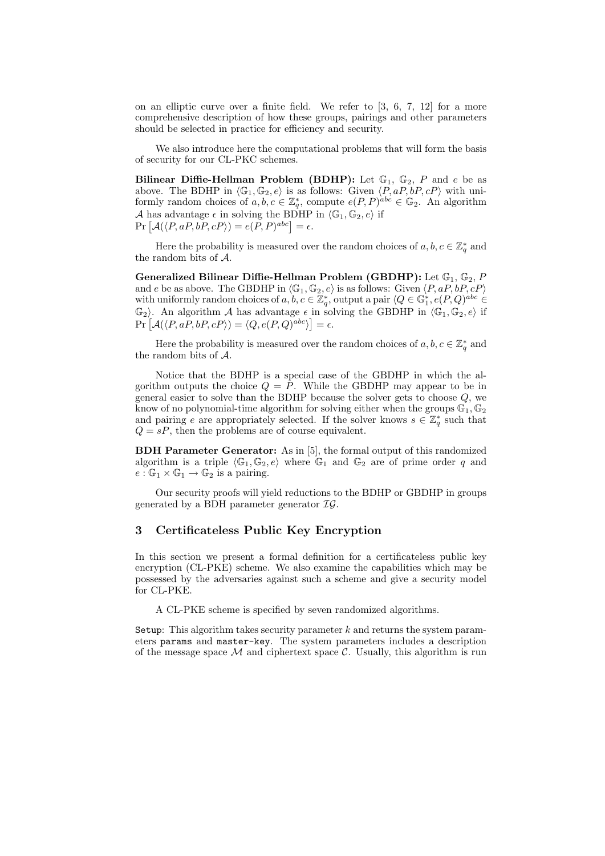on an elliptic curve over a finite field. We refer to [3, 6, 7, 12] for a more comprehensive description of how these groups, pairings and other parameters should be selected in practice for efficiency and security.

We also introduce here the computational problems that will form the basis of security for our CL-PKC schemes.

Bilinear Diffie-Hellman Problem (BDHP): Let  $\mathbb{G}_1$ ,  $\mathbb{G}_2$ , P and e be as above. The BDHP in  $\langle \mathbb{G}_1, \mathbb{G}_2, e \rangle$  is as follows: Given  $\langle P, aP, bP, cP \rangle$  with uniformly random choices of  $a, b, c \in \mathbb{Z}_q^*$ , compute  $e(P, P)^{abc} \in \mathbb{G}_2$ . An algorithm A has advantage  $\epsilon$  in solving the BDHP in  $\langle \mathbb{G}_1, \mathbb{G}_2, e \rangle$  if A has advantage  $\epsilon$  in solving the BDHP<br>Pr  $[\mathcal{A}(\langle P, aP, bP, cP \rangle) = e(P, P)^{abc}] = \epsilon$ .

Here the probability is measured over the random choices of  $a, b, c \in \mathbb{Z}_q^*$  and the random bits of A.

Generalized Bilinear Diffie-Hellman Problem (GBDHP): Let  $\mathbb{G}_1$ ,  $\mathbb{G}_2$ , P and e be as above. The GBDHP in  $\langle G_1, G_2, e \rangle$  is as follows: Given  $\langle P, aP, bP, cP \rangle$ with uniformly random choices of  $a, b, c \in \mathbb{Z}_q^*$ , output a pair  $\langle Q \in \mathbb{G}_1^*, e(P,Q)^{abc} \in$  $\mathbb{G}_2$ . An algorithm A has advantage  $\epsilon$  in solving the GBDHP in  $\langle \mathbb{G}_1, \mathbb{G}_2, e \rangle$  if  $\mathbb{P} \left[ \mathcal{A}(\langle P, aP, bP, cP \rangle) = \langle Q, e(P, Q)^{abc} \rangle \right] = \epsilon.$ 

Here the probability is measured over the random choices of  $a, b, c \in \mathbb{Z}_q^*$  and the random bits of A.

Notice that the BDHP is a special case of the GBDHP in which the algorithm outputs the choice  $Q = P$ . While the GBDHP may appear to be in general easier to solve than the BDHP because the solver gets to choose  $Q$ , we know of no polynomial-time algorithm for solving either when the groups  $\mathbb{G}_1, \mathbb{G}_2$ and pairing e are appropriately selected. If the solver knows  $s \in \mathbb{Z}_q^*$  such that  $Q = sP$ , then the problems are of course equivalent.

BDH Parameter Generator: As in [5], the formal output of this randomized algorithm is a triple  $\langle \mathbb{G}_1, \mathbb{G}_2, e \rangle$  where  $\mathbb{G}_1$  and  $\mathbb{G}_2$  are of prime order q and  $e : \mathbb{G}_1 \times \mathbb{G}_1 \to \mathbb{G}_2$  is a pairing.

Our security proofs will yield reductions to the BDHP or GBDHP in groups generated by a BDH parameter generator  $IG$ .

### 3 Certificateless Public Key Encryption

In this section we present a formal definition for a certificateless public key encryption (CL-PKE) scheme. We also examine the capabilities which may be possessed by the adversaries against such a scheme and give a security model for CL-PKE.

A CL-PKE scheme is specified by seven randomized algorithms.

Setup: This algorithm takes security parameter  $k$  and returns the system parameters params and master-key. The system parameters includes a description of the message space  $\mathcal M$  and ciphertext space  $\mathcal C$ . Usually, this algorithm is run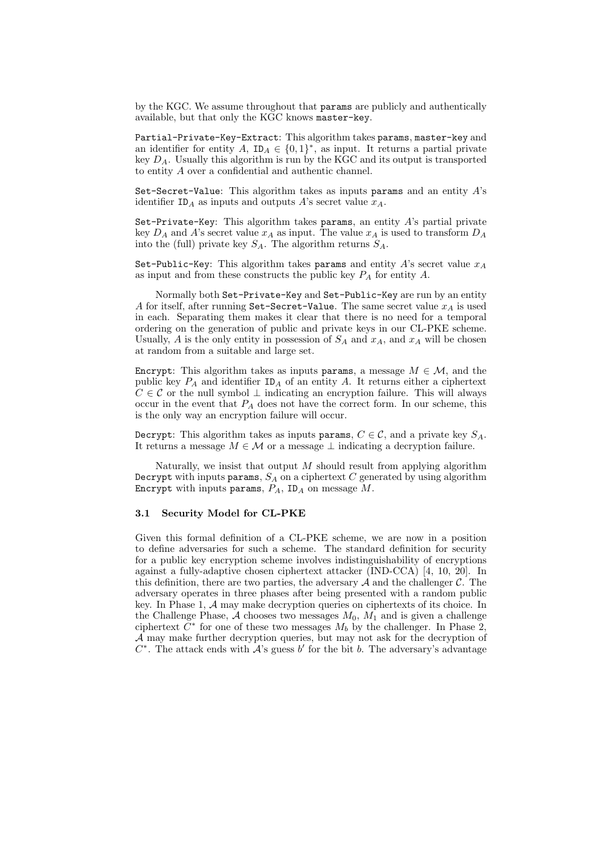by the KGC. We assume throughout that params are publicly and authentically available, but that only the KGC knows master-key.

Partial-Private-Key-Extract: This algorithm takes params, master-key and an identifier for entity  $A$ ,  $ID_A \in \{0,1\}^*$ , as input. It returns a partial private key  $D_A$ . Usually this algorithm is run by the KGC and its output is transported to entity A over a confidential and authentic channel.

Set-Secret-Value: This algorithm takes as inputs params and an entity  $A$ 's identifier  $ID_A$  as inputs and outputs A's secret value  $x_A$ .

Set-Private-Key: This algorithm takes params, an entity A's partial private key  $D_A$  and A's secret value  $x_A$  as input. The value  $x_A$  is used to transform  $D_A$ into the (full) private key  $S_A$ . The algorithm returns  $S_A$ .

Set-Public-Key: This algorithm takes params and entity A's secret value  $x_A$ as input and from these constructs the public key  $P_A$  for entity  $A$ .

Normally both Set-Private-Key and Set-Public-Key are run by an entity A for itself, after running Set-Secret-Value. The same secret value  $x_A$  is used in each. Separating them makes it clear that there is no need for a temporal ordering on the generation of public and private keys in our CL-PKE scheme. Usually, A is the only entity in possession of  $S_A$  and  $x_A$ , and  $x_A$  will be chosen at random from a suitable and large set.

Encrypt: This algorithm takes as inputs params, a message  $M \in \mathcal{M}$ , and the public key  $P_A$  and identifier  $ID_A$  of an entity A. It returns either a ciphertext  $C \in \mathcal{C}$  or the null symbol  $\perp$  indicating an encryption failure. This will always occur in the event that  $P_A$  does not have the correct form. In our scheme, this is the only way an encryption failure will occur.

Decrypt: This algorithm takes as inputs params,  $C \in \mathcal{C}$ , and a private key  $S_A$ . It returns a message  $M \in \mathcal{M}$  or a message  $\perp$  indicating a decryption failure.

Naturally, we insist that output  $M$  should result from applying algorithm Decrypt with inputs params,  $S_A$  on a ciphertext  $C$  generated by using algorithm Encrypt with inputs params,  $P_A$ , ID<sub>A</sub> on message  $M$ .

#### 3.1 Security Model for CL-PKE

Given this formal definition of a CL-PKE scheme, we are now in a position to define adversaries for such a scheme. The standard definition for security for a public key encryption scheme involves indistinguishability of encryptions against a fully-adaptive chosen ciphertext attacker (IND-CCA) [4, 10, 20]. In this definition, there are two parties, the adversary  $A$  and the challenger  $C$ . The adversary operates in three phases after being presented with a random public key. In Phase 1, A may make decryption queries on ciphertexts of its choice. In the Challenge Phase,  $A$  chooses two messages  $M_0$ ,  $M_1$  and is given a challenge ciphertext  $\tilde{C}^*$  for one of these two messages  $M_b$  by the challenger. In Phase 2, A may make further decryption queries, but may not ask for the decryption of  $C^*$ . The attack ends with  $\mathcal{A}$ 's guess  $b'$  for the bit b. The adversary's advantage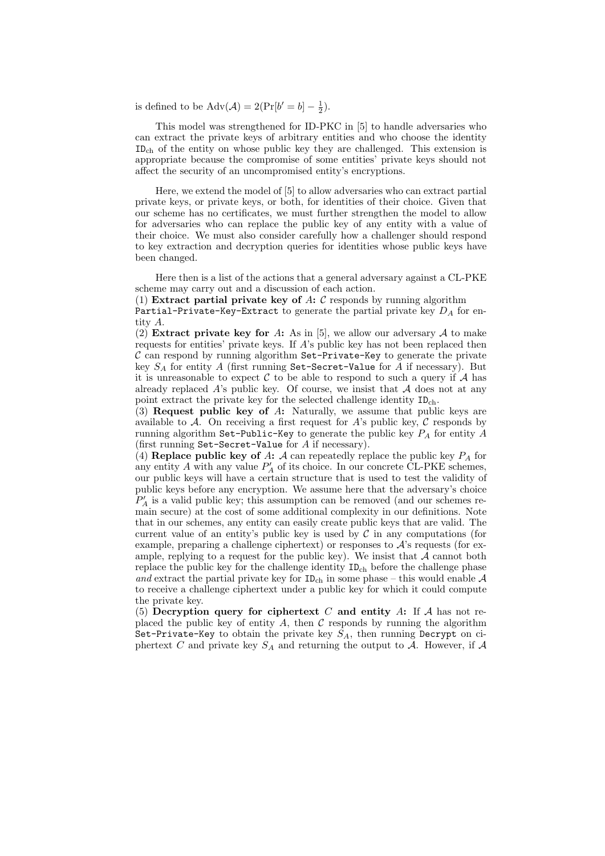is defined to be  $\text{Adv}(\mathcal{A}) = 2(\Pr[b' = b] - \frac{1}{2}).$ 

This model was strengthened for ID-PKC in [5] to handle adversaries who can extract the private keys of arbitrary entities and who choose the identity IDch of the entity on whose public key they are challenged. This extension is appropriate because the compromise of some entities' private keys should not affect the security of an uncompromised entity's encryptions.

Here, we extend the model of [5] to allow adversaries who can extract partial private keys, or private keys, or both, for identities of their choice. Given that our scheme has no certificates, we must further strengthen the model to allow for adversaries who can replace the public key of any entity with a value of their choice. We must also consider carefully how a challenger should respond to key extraction and decryption queries for identities whose public keys have been changed.

Here then is a list of the actions that a general adversary against a CL-PKE scheme may carry out and a discussion of each action.

(1) Extract partial private key of A:  $\mathcal C$  responds by running algorithm

Partial-Private-Key-Extract to generate the partial private key  $D_A$  for entity A.

(2) Extract private key for A: As in [5], we allow our adversary A to make requests for entities' private keys. If A's public key has not been replaced then  $\mathcal C$  can respond by running algorithm Set-Private-Key to generate the private key  $S_A$  for entity A (first running Set-Secret-Value for A if necessary). But it is unreasonable to expect  $\mathcal C$  to be able to respond to such a query if  $\mathcal A$  has already replaced  $A$ 's public key. Of course, we insist that  $A$  does not at any point extract the private key for the selected challenge identity  $ID_{ch}$ .

(3) Request public key of A: Naturally, we assume that public keys are available to  $A$ . On receiving a first request for  $A$ 's public key,  $C$  responds by running algorithm Set-Public-Key to generate the public key  $P_A$  for entity  $A$ (first running Set-Secret-Value for A if necessary).

(4) Replace public key of A: A can repeatedly replace the public key  $P_A$  for any entity  $A$  with any value  $P'_A$  of its choice. In our concrete CL-PKE schemes, our public keys will have a certain structure that is used to test the validity of public keys before any encryption. We assume here that the adversary's choice  $P'_A$  is a valid public key; this assumption can be removed (and our schemes remain secure) at the cost of some additional complexity in our definitions. Note that in our schemes, any entity can easily create public keys that are valid. The current value of an entity's public key is used by  $\mathcal C$  in any computations (for example, preparing a challenge ciphertext) or responses to  $\mathcal{A}$ 's requests (for example, replying to a request for the public key). We insist that  $A$  cannot both replace the public key for the challenge identity  $ID<sub>ch</sub>$  before the challenge phase and extract the partial private key for  $ID_{ch}$  in some phase – this would enable A to receive a challenge ciphertext under a public key for which it could compute the private key.

(5) Decryption query for ciphertext  $C$  and entity  $A$ : If  $A$  has not replaced the public key of entity  $A$ , then  $C$  responds by running the algorithm Set-Private-Key to obtain the private key  $S_A$ , then running Decrypt on ciphertext C and private key  $S_A$  and returning the output to A. However, if A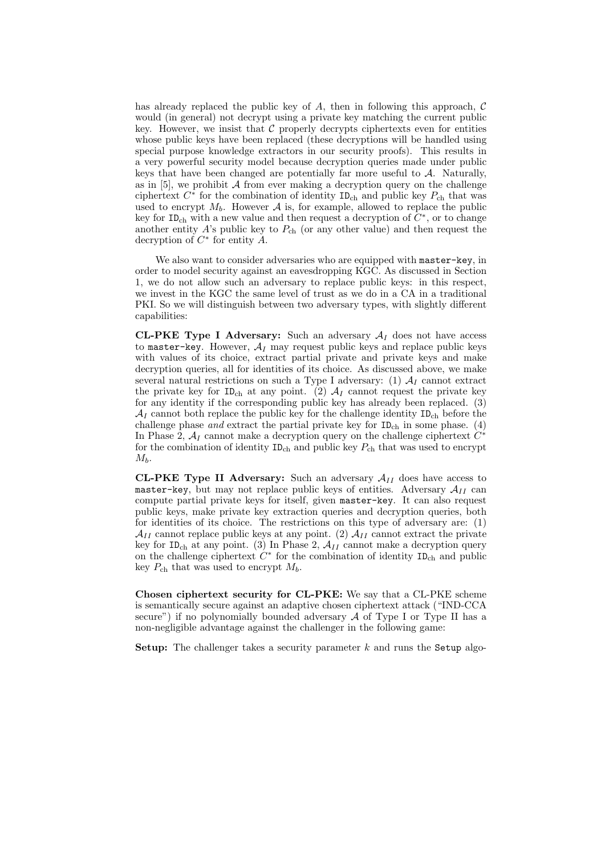has already replaced the public key of  $A$ , then in following this approach,  $C$ would (in general) not decrypt using a private key matching the current public key. However, we insist that  $\mathcal C$  properly decrypts ciphertexts even for entities whose public keys have been replaced (these decryptions will be handled using special purpose knowledge extractors in our security proofs). This results in a very powerful security model because decryption queries made under public keys that have been changed are potentially far more useful to  $A$ . Naturally, as in  $[5]$ , we prohibit  $\mathcal A$  from ever making a decryption query on the challenge ciphertext  $C^*$  for the combination of identity  $ID_{ch}$  and public key  $P_{ch}$  that was used to encrypt  $M_b$ . However A is, for example, allowed to replace the public key for ID<sub>ch</sub> with a new value and then request a decryption of  $C^*$ , or to change another entity  $A$ 's public key to  $P_{ch}$  (or any other value) and then request the decryption of  $C^*$  for entity  $\tilde{A}$ .

We also want to consider adversaries who are equipped with master-key, in order to model security against an eavesdropping KGC. As discussed in Section 1, we do not allow such an adversary to replace public keys: in this respect, we invest in the KGC the same level of trust as we do in a CA in a traditional PKI. So we will distinguish between two adversary types, with slightly different capabilities:

**CL-PKE Type I Adversary:** Such an adversary  $A_I$  does not have access to master-key. However,  $A_I$  may request public keys and replace public keys with values of its choice, extract partial private and private keys and make decryption queries, all for identities of its choice. As discussed above, we make several natural restrictions on such a Type I adversary: (1)  $A_I$  cannot extract the private key for  $ID_{ch}$  at any point. (2)  $A_I$  cannot request the private key for any identity if the corresponding public key has already been replaced. (3)  $A_I$  cannot both replace the public key for the challenge identity  $ID_{ch}$  before the challenge phase and extract the partial private key for  $ID<sub>ch</sub>$  in some phase. (4) In Phase 2,  $A_I$  cannot make a decryption query on the challenge ciphertext  $C^*$ for the combination of identity  $ID_{ch}$  and public key  $P_{ch}$  that was used to encrypt  $M_b$ .

**CL-PKE Type II Adversary:** Such an adversary  $A_{II}$  does have access to master-key, but may not replace public keys of entities. Adversary  $A_{II}$  can compute partial private keys for itself, given master-key. It can also request public keys, make private key extraction queries and decryption queries, both for identities of its choice. The restrictions on this type of adversary are: (1)  $\mathcal{A}_{II}$  cannot replace public keys at any point. (2)  $\mathcal{A}_{II}$  cannot extract the private key for ID<sub>ch</sub> at any point. (3) In Phase 2,  $A_{II}$  cannot make a decryption query on the challenge ciphertext  $C^*$  for the combination of identity  $ID_{ch}$  and public key  $P_{\text{ch}}$  that was used to encrypt  $M_b$ .

Chosen ciphertext security for CL-PKE: We say that a CL-PKE scheme is semantically secure against an adaptive chosen ciphertext attack ("IND-CCA secure") if no polynomially bounded adversary  $A$  of Type I or Type II has a non-negligible advantage against the challenger in the following game:

**Setup:** The challenger takes a security parameter  $k$  and runs the Setup algo-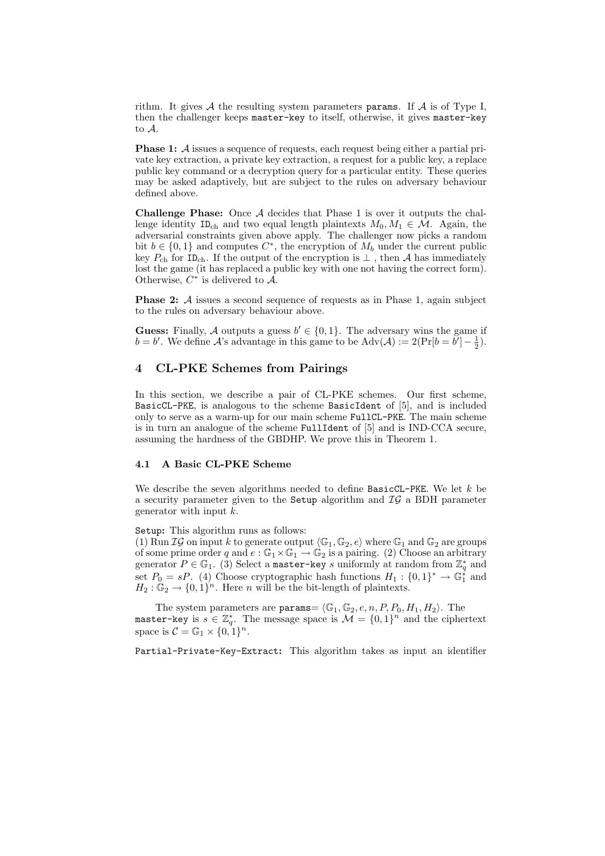rithm. It gives  $A$  the resulting system parameters params. If  $A$  is of Type I, then the challenger keeps master-key to itself, otherwise, it gives master-key to A.

**Phase 1:** A issues a sequence of requests, each request being either a partial private key extraction, a private key extraction, a request for a public key, a replace public key command or a decryption query for a particular entity. These queries may be asked adaptively, but are subject to the rules on adversary behaviour defined above.

**Challenge Phase:** Once  $\mathcal A$  decides that Phase 1 is over it outputs the challenge identity ID<sub>ch</sub> and two equal length plaintexts  $M_0, M_1 \in \mathcal{M}$ . Again, the adversarial constraints given above apply. The challenger now picks a random bit  $b \in \{0,1\}$  and computes  $C^*$ , the encryption of  $M_b$  under the current public key  $P_{ch}$  for ID<sub>ch</sub>. If the output of the encryption is  $\perp$ , then A has immediately lost the game (it has replaced a public key with one not having the correct form). Otherwise,  $C^*$  is delivered to  $\overline{\mathcal{A}}$ .

**Phase 2:** A issues a second sequence of requests as in Phase 1, again subject to the rules on adversary behaviour above.

**Guess:** Finally, A outputs a guess  $b' \in \{0, 1\}$ . The adversary wins the game if  $b = b'$ . We define A's advantage in this game to be  $\text{Adv}(\mathcal{A}) := 2(\Pr[b = b'] - \frac{1}{2})$ .

## 4 CL-PKE Schemes from Pairings

In this section, we describe a pair of CL-PKE schemes. Our first scheme, BasicCL-PKE, is analogous to the scheme BasicIdent of [5], and is included only to serve as a warm-up for our main scheme FullCL-PKE. The main scheme is in turn an analogue of the scheme FullIdent of [5] and is IND-CCA secure, assuming the hardness of the GBDHP. We prove this in Theorem 1.

### 4.1 A Basic CL-PKE Scheme

We describe the seven algorithms needed to define  $BasicCL-PKE$ . We let  $k$  be a security parameter given to the Setup algorithm and  $\mathcal{IG}$  a BDH parameter generator with input k.

Setup: This algorithm runs as follows:

(1) Run  $IG$  on input k to generate output  $\langle \mathbb{G}_1, \mathbb{G}_2, e \rangle$  where  $\mathbb{G}_1$  and  $\mathbb{G}_2$  are groups of some prime order q and  $e : \mathbb{G}_1 \times \mathbb{G}_1 \to \mathbb{G}_2$  is a pairing. (2) Choose an arbitrary generator  $P \in \mathbb{G}_1$ . (3) Select a master-key s uniformly at random from  $\mathbb{Z}_q^*$  and set  $P_0 = sP$ . (4) Choose cryptographic hash functions  $H_1: \{0,1\}^* \to \mathbb{G}_1^*$  and  $H_2: \mathbb{G}_2 \to \{0,1\}^n$ . Here *n* will be the bit-length of plaintexts.

The system parameters are params  $\langle \mathbb{G}_1, \mathbb{G}_2, e, n, P, P_0, H_1, H_2 \rangle$ . The master-key is  $s \in \mathbb{Z}_q^*$ . The message space is  $\mathcal{M} = \{0,1\}^n$  and the ciphertext space is  $C = \mathbb{G}_1 \times \{0, 1\}^n$ .

Partial-Private-Key-Extract: This algorithm takes as input an identifier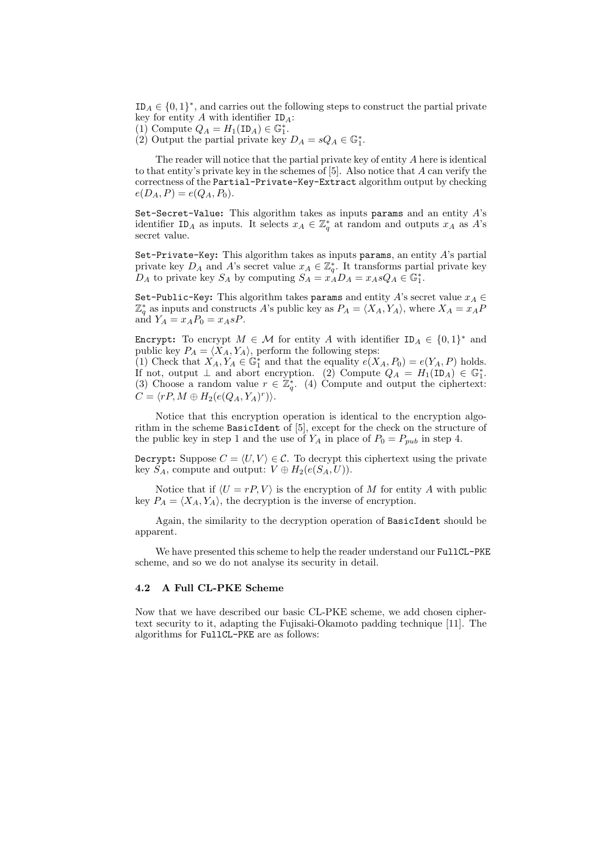$ID_A \in \{0,1\}^*$ , and carries out the following steps to construct the partial private key for entity  $A$  with identifier  $ID_A$ :

- (1) Compute  $Q_A = H_1(\text{ID}_A) \in \mathbb{G}_1^*$ .
- (2) Output the partial private key  $D_A = sQ_A \in \mathbb{G}_1^*$ .

The reader will notice that the partial private key of entity A here is identical to that entity's private key in the schemes of [5]. Also notice that A can verify the correctness of the Partial-Private-Key-Extract algorithm output by checking  $e(D_A, P) = e(Q_A, P_0).$ 

Set-Secret-Value: This algorithm takes as inputs params and an entity  $A$ 's identifier ID<sub>A</sub> as inputs. It selects  $x_A \in \mathbb{Z}_q^*$  at random and outputs  $x_A$  as A's secret value.

Set-Private-Key: This algorithm takes as inputs params, an entity  $A$ 's partial private key  $D_A$  and A's secret value  $x_A \in \mathbb{Z}_q^*$ . It transforms partial private key  $D_A$  to private key  $S_A$  by computing  $S_A = x_A^T D_A = x_A s Q_A \in \mathbb{G}_1^*$ .

Set-Public-Key: This algorithm takes params and entity A's secret value  $x_A \in$  $\mathbb{Z}_q^*$  as inputs and constructs A's public key as  $P_A = \langle X_A, Y_A \rangle$ , where  $X_A = x_A P$ and  $Y_A = x_A P_0 = x_A sP$ .

Encrypt: To encrypt  $M \in \mathcal{M}$  for entity A with identifier  $ID_A \in \{0,1\}^*$  and public key  $P_A = \langle X_A, Y_A \rangle$ , perform the following steps:

(1) Check that  $X_A, Y_A \in \mathbb{G}_1^*$  and that the equality  $e(X_A, P_0) = e(Y_A, P)$  holds. If not, output  $\perp$  and abort encryption. (2) Compute  $Q_A = H_1(\mathbb{ID}_A) \in \mathbb{G}_1^*$ . (3) Choose a random value  $r \in \mathbb{Z}_q^*$ . (4) Compute and output the ciphertext:  $C = \langle rP, M \oplus H_2(e(Q_A, Y_A)^r) \rangle.$ 

Notice that this encryption operation is identical to the encryption algorithm in the scheme BasicIdent of [5], except for the check on the structure of the public key in step 1 and the use of  $Y_A$  in place of  $P_0 = P_{pub}$  in step 4.

Decrypt: Suppose  $C = \langle U, V \rangle \in \mathcal{C}$ . To decrypt this ciphertext using the private key  $S_A$ , compute and output:  $V \oplus H_2(e(S_A, U))$ .

Notice that if  $\langle U = rP, V \rangle$  is the encryption of M for entity A with public key  $P_A = \langle X_A, Y_A \rangle$ , the decryption is the inverse of encryption.

Again, the similarity to the decryption operation of BasicIdent should be apparent.

We have presented this scheme to help the reader understand our FullCL-PKE scheme, and so we do not analyse its security in detail.

### 4.2 A Full CL-PKE Scheme

Now that we have described our basic CL-PKE scheme, we add chosen ciphertext security to it, adapting the Fujisaki-Okamoto padding technique [11]. The algorithms for FullCL-PKE are as follows: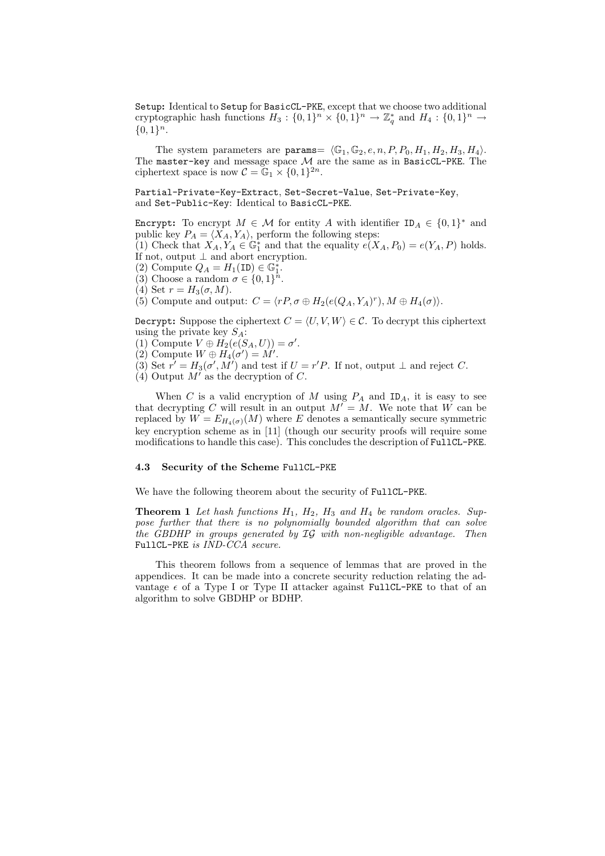Setup: Identical to Setup for BasicCL-PKE, except that we choose two additional cryptographic hash functions  $H_3: \{0,1\}^n \times \{0,1\}^n \to \mathbb{Z}_q^*$  and  $H_4: \{0,1\}^n \to$  ${0,1}<sup>n</sup>$ .

The system parameters are params=  $\langle \mathbb{G}_1, \mathbb{G}_2, e, n, P, P_0, H_1, H_2, H_3, H_4 \rangle$ . The master-key and message space  $\mathcal M$  are the same as in BasicCL-PKE. The ciphertext space is now  $C = \mathbb{G}_1 \times \{0, 1\}^{2n}$ .

Partial-Private-Key-Extract, Set-Secret-Value, Set-Private-Key, and Set-Public-Key: Identical to BasicCL-PKE.

Encrypt: To encrypt  $M \in \mathcal{M}$  for entity A with identifier  $ID_A \in \{0,1\}^*$  and public key  $P_A = \langle X_A, Y_A \rangle$ , perform the following steps:

(1) Check that  $X_A, Y_A \in \mathbb{G}_1^*$  and that the equality  $e(X_A, P_0) = e(Y_A, P)$  holds. If not, output  $\perp$  and abort encryption.

- (2) Compute  $Q_A = H_1(\texttt{ID}) \in \mathbb{G}_1^*$ .
- (3) Choose a random  $\sigma \in \{0,1\}^n$ .
- (4) Set  $r = H_3(\sigma, M)$ .
- (5) Compute and output:  $C = \langle rP, \sigma \oplus H_2(e(Q_A, Y_A)^r), M \oplus H_4(\sigma) \rangle$ .

Decrypt: Suppose the ciphertext  $C = \langle U, V, W \rangle \in \mathcal{C}$ . To decrypt this ciphertext using the private key  $S_A$ :

- (1) Compute  $V \oplus \tilde{H_2}(e(S_A, U)) = \sigma'.$
- (2) Compute  $W \oplus H_4(\sigma') = M'.$
- (3) Set  $r' = H_3(\sigma', M')$  and test if  $U = r'P$ . If not, output  $\perp$  and reject C.
- (4) Output  $M'$  as the decryption of C.

When C is a valid encryption of M using  $P_A$  and  $ID_A$ , it is easy to see that decrypting C will result in an output  $M' = M$ . We note that W can be replaced by  $W = E_{H_4(\sigma)}(M)$  where E denotes a semantically secure symmetric key encryption scheme as in [11] (though our security proofs will require some modifications to handle this case). This concludes the description of FullCL-PKE.

#### 4.3 Security of the Scheme FullCL-PKE

We have the following theorem about the security of FullCL-PKE.

**Theorem 1** Let hash functions  $H_1$ ,  $H_2$ ,  $H_3$  and  $H_4$  be random oracles. Suppose further that there is no polynomially bounded algorithm that can solve the GBDHP in groups generated by IG with non-negligible advantage. Then FullCL-PKE is IND-CCA secure.

This theorem follows from a sequence of lemmas that are proved in the appendices. It can be made into a concrete security reduction relating the advantage  $\epsilon$  of a Type I or Type II attacker against FullCL-PKE to that of an algorithm to solve GBDHP or BDHP.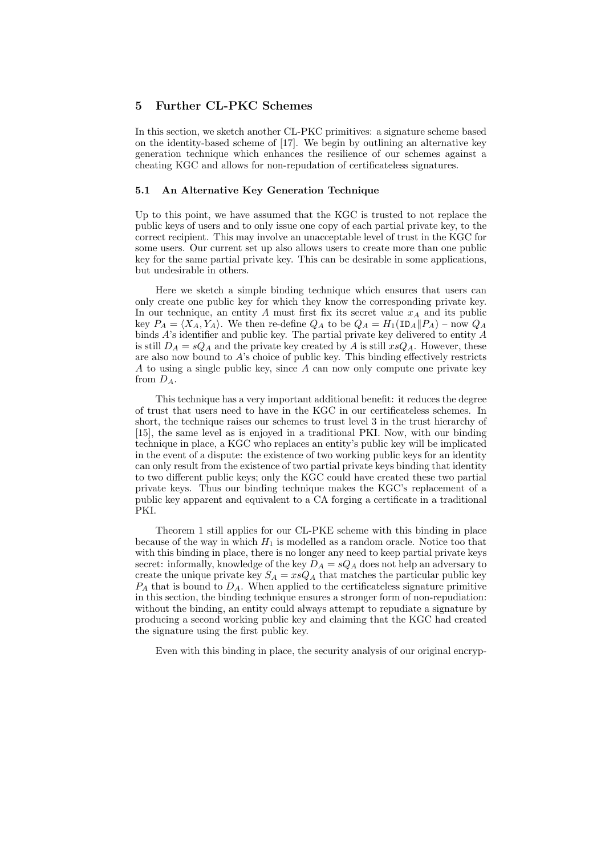## 5 Further CL-PKC Schemes

In this section, we sketch another CL-PKC primitives: a signature scheme based on the identity-based scheme of [17]. We begin by outlining an alternative key generation technique which enhances the resilience of our schemes against a cheating KGC and allows for non-repudation of certificateless signatures.

### 5.1 An Alternative Key Generation Technique

Up to this point, we have assumed that the KGC is trusted to not replace the public keys of users and to only issue one copy of each partial private key, to the correct recipient. This may involve an unacceptable level of trust in the KGC for some users. Our current set up also allows users to create more than one public key for the same partial private key. This can be desirable in some applications, but undesirable in others.

Here we sketch a simple binding technique which ensures that users can only create one public key for which they know the corresponding private key. In our technique, an entity  $A$  must first fix its secret value  $x_A$  and its public key  $P_A = \langle X_A, Y_A \rangle$ . We then re-define  $Q_A$  to be  $Q_A = H_1(\text{ID}_A||P_A)$  – now  $Q_A$ binds A's identifier and public key. The partial private key delivered to entity A is still  $D_A = sQ_A$  and the private key created by A is still  $xsQ_A$ . However, these are also now bound to A's choice of public key. This binding effectively restricts A to using a single public key, since A can now only compute one private key from  $D_A$ .

This technique has a very important additional benefit: it reduces the degree of trust that users need to have in the KGC in our certificateless schemes. In short, the technique raises our schemes to trust level 3 in the trust hierarchy of [15], the same level as is enjoyed in a traditional PKI. Now, with our binding technique in place, a KGC who replaces an entity's public key will be implicated in the event of a dispute: the existence of two working public keys for an identity can only result from the existence of two partial private keys binding that identity to two different public keys; only the KGC could have created these two partial private keys. Thus our binding technique makes the KGC's replacement of a public key apparent and equivalent to a CA forging a certificate in a traditional PKI.

Theorem 1 still applies for our CL-PKE scheme with this binding in place because of the way in which  $H_1$  is modelled as a random oracle. Notice too that with this binding in place, there is no longer any need to keep partial private keys secret: informally, knowledge of the key  $D_A = sQ_A$  does not help an adversary to create the unique private key  $S_A = xsQ_A$  that matches the particular public key  $P_A$  that is bound to  $D_A$ . When applied to the certificateless signature primitive in this section, the binding technique ensures a stronger form of non-repudiation: without the binding, an entity could always attempt to repudiate a signature by producing a second working public key and claiming that the KGC had created the signature using the first public key.

Even with this binding in place, the security analysis of our original encryp-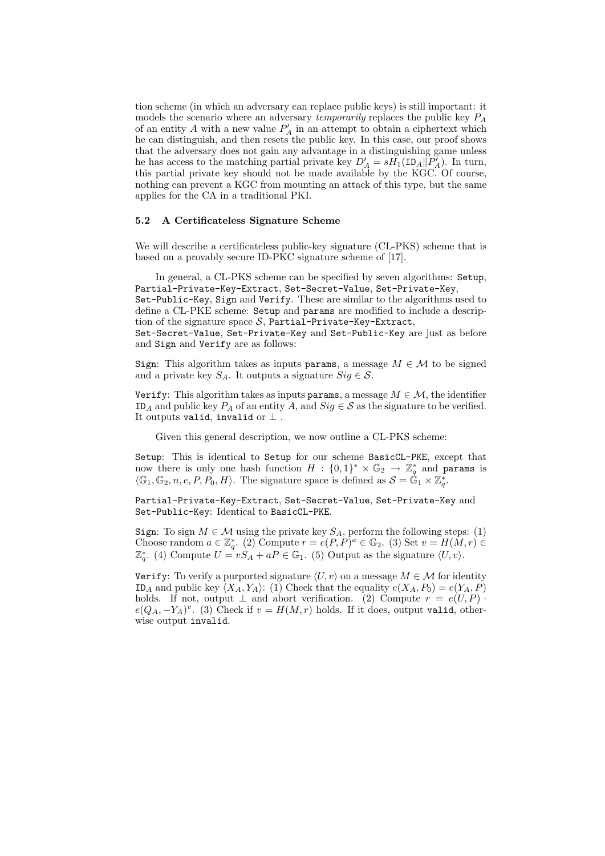tion scheme (in which an adversary can replace public keys) is still important: it models the scenario where an adversary *temporarily* replaces the public key  $P_A$ of an entity  $A$  with a new value  $P'_A$  in an attempt to obtain a ciphertext which he can distinguish, and then resets the public key. In this case, our proof shows that the adversary does not gain any advantage in a distinguishing game unless he has access to the matching partial private key  $D'_A = sH_1(\text{ID}_A||\overline{P'_A})$ . In turn, this partial private key should not be made available by the KGC. Of course, nothing can prevent a KGC from mounting an attack of this type, but the same applies for the CA in a traditional PKI.

#### 5.2 A Certificateless Signature Scheme

We will describe a certificateless public-key signature (CL-PKS) scheme that is based on a provably secure ID-PKC signature scheme of [17].

In general, a CL-PKS scheme can be specified by seven algorithms: Setup, Partial-Private-Key-Extract, Set-Secret-Value, Set-Private-Key, Set-Public-Key, Sign and Verify. These are similar to the algorithms used to define a CL-PKE scheme: Setup and params are modified to include a description of the signature space  $S$ , Partial-Private-Key-Extract, Set-Secret-Value, Set-Private-Key and Set-Public-Key are just as before and Sign and Verify are as follows:

Sign: This algorithm takes as inputs params, a message  $M \in \mathcal{M}$  to be signed and a private key  $S_A$ . It outputs a signature  $Sig \in \mathcal{S}$ .

Verify: This algorithm takes as inputs params, a message  $M \in \mathcal{M}$ , the identifier ID<sub>A</sub> and public key  $P_A$  of an entity A, and  $Sig \in \mathcal{S}$  as the signature to be verified. It outputs valid, invalid or  $\perp$ .

Given this general description, we now outline a CL-PKS scheme:

Setup: This is identical to Setup for our scheme BasicCL-PKE, except that now there is only one hash function  $H : \{0,1\}^* \times \mathbb{G}_2 \to \mathbb{Z}_q^*$  and params is  $\langle \mathbb{G}_1, \mathbb{G}_2, n, e, P, P_0, H \rangle$ . The signature space is defined as  $S = \hat{\mathbb{G}}_1 \times \mathbb{Z}_q^*$ .

Partial-Private-Key-Extract, Set-Secret-Value, Set-Private-Key and Set-Public-Key: Identical to BasicCL-PKE.

Sign: To sign  $M \in \mathcal{M}$  using the private key  $S_A$ , perform the following steps: (1) Choose random  $a \in \mathbb{Z}_q^*$ . (2) Compute  $r = e(P, P)^a \in \mathbb{G}_2$ . (3) Set  $v = H(M, r) \in$  $\mathbb{Z}_q^*$ . (4) Compute  $U = vS_A + aP \in \mathbb{G}_1$ . (5) Output as the signature  $\langle U, v \rangle$ .

Verify: To verify a purported signature  $\langle U, v \rangle$  on a message  $M \in \mathcal{M}$  for identity ID<sub>A</sub> and public key  $\langle X_A, Y_A \rangle$ : (1) Check that the equality  $e(X_A, P_0) = e(Y_A, P)$ holds. If not, output  $\perp$  and abort verification. (2) Compute  $r = e(U, P)$ .  $e(Q_A, -Y_A)^v$ . (3) Check if  $v = H(M, r)$  holds. If it does, output valid, otherwise output invalid.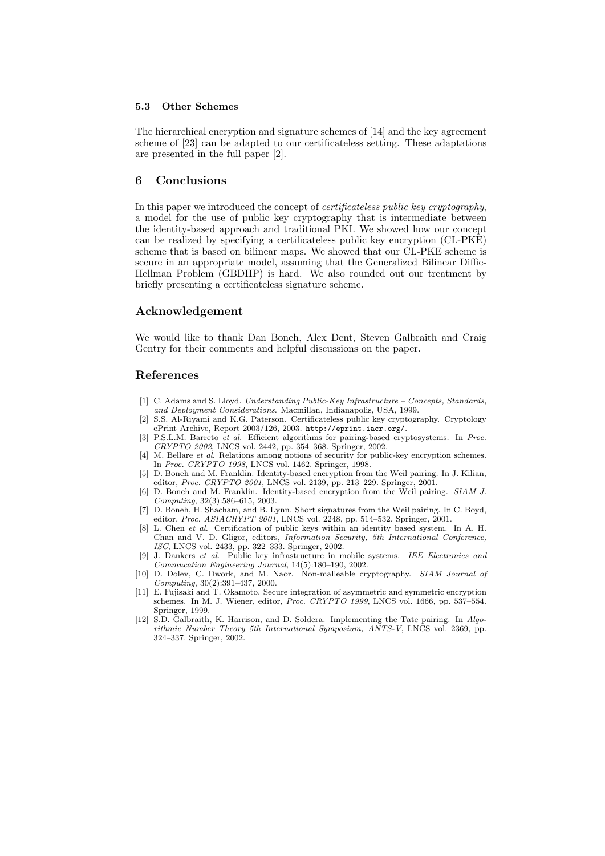### 5.3 Other Schemes

The hierarchical encryption and signature schemes of [14] and the key agreement scheme of [23] can be adapted to our certificateless setting. These adaptations are presented in the full paper [2].

### 6 Conclusions

In this paper we introduced the concept of certificateless public key cryptography, a model for the use of public key cryptography that is intermediate between the identity-based approach and traditional PKI. We showed how our concept can be realized by specifying a certificateless public key encryption (CL-PKE) scheme that is based on bilinear maps. We showed that our CL-PKE scheme is secure in an appropriate model, assuming that the Generalized Bilinear Diffie-Hellman Problem (GBDHP) is hard. We also rounded out our treatment by briefly presenting a certificateless signature scheme.

### Acknowledgement

We would like to thank Dan Boneh, Alex Dent, Steven Galbraith and Craig Gentry for their comments and helpful discussions on the paper.

## References

- [1] C. Adams and S. Lloyd. Understanding Public-Key Infrastructure Concepts, Standards, and Deployment Considerations. Macmillan, Indianapolis, USA, 1999.
- [2] S.S. Al-Riyami and K.G. Paterson. Certificateless public key cryptography. Cryptology ePrint Archive, Report 2003/126, 2003. http://eprint.iacr.org/.
- [3] P.S.L.M. Barreto et al. Efficient algorithms for pairing-based cryptosystems. In Proc. CRYPTO 2002, LNCS vol. 2442, pp. 354–368. Springer, 2002.
- [4] M. Bellare et al. Relations among notions of security for public-key encryption schemes. In Proc. CRYPTO 1998, LNCS vol. 1462. Springer, 1998.
- [5] D. Boneh and M. Franklin. Identity-based encryption from the Weil pairing. In J. Kilian, editor, Proc. CRYPTO 2001, LNCS vol. 2139, pp. 213-229. Springer, 2001.
- [6] D. Boneh and M. Franklin. Identity-based encryption from the Weil pairing. SIAM J. Computing, 32(3):586–615, 2003.
- [7] D. Boneh, H. Shacham, and B. Lynn. Short signatures from the Weil pairing. In C. Boyd, editor, Proc. ASIACRYPT 2001, LNCS vol. 2248, pp. 514–532. Springer, 2001.
- [8] L. Chen et al. Certification of public keys within an identity based system. In A. H. Chan and V. D. Gligor, editors, Information Security, 5th International Conference, ISC, LNCS vol. 2433, pp. 322–333. Springer, 2002.
- [9] J. Dankers et al. Public key infrastructure in mobile systems. IEE Electronics and Commucation Engineering Journal, 14(5):180–190, 2002.
- [10] D. Dolev, C. Dwork, and M. Naor. Non-malleable cryptography. SIAM Journal of Computing, 30(2):391–437, 2000.
- [11] E. Fujisaki and T. Okamoto. Secure integration of asymmetric and symmetric encryption schemes. In M. J. Wiener, editor, Proc. CRYPTO 1999, LNCS vol. 1666, pp. 537–554. Springer, 1999.
- [12] S.D. Galbraith, K. Harrison, and D. Soldera. Implementing the Tate pairing. In Algorithmic Number Theory 5th International Symposium, ANTS-V, LNCS vol. 2369, pp. 324–337. Springer, 2002.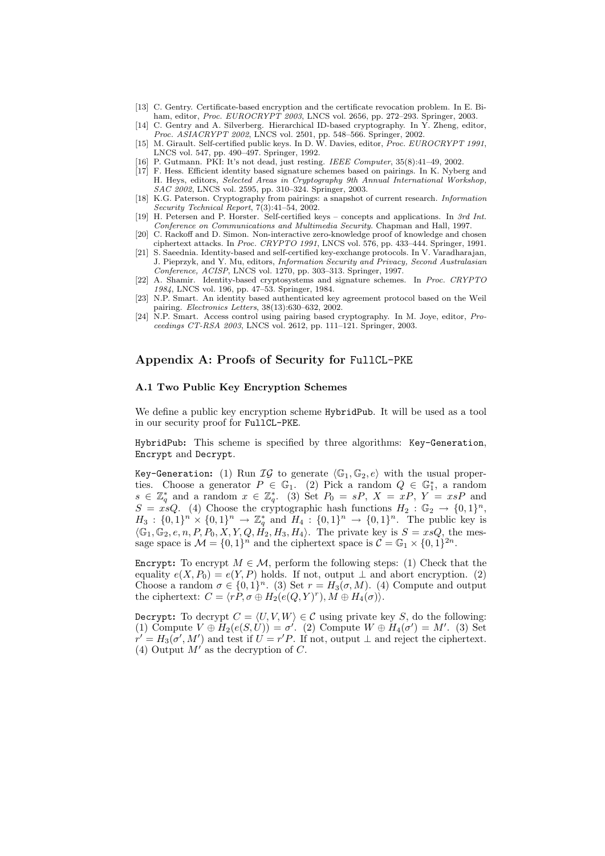- [13] C. Gentry. Certificate-based encryption and the certificate revocation problem. In E. Biham, editor, *Proc. EUROCRYPT* 2003, LNCS vol. 2656, pp. 272-293. Springer, 2003.
- [14] C. Gentry and A. Silverberg. Hierarchical ID-based cryptography. In Y. Zheng, editor, Proc. ASIACRYPT 2002, LNCS vol. 2501, pp. 548–566. Springer, 2002.
- [15] M. Girault. Self-certified public keys. In D. W. Davies, editor, *Proc. EUROCRYPT 1991*, LNCS vol. 547, pp. 490–497. Springer, 1992.
- [16] P. Gutmann. PKI: It's not dead, just resting. IEEE Computer, 35(8):41–49, 2002.
- [17] F. Hess. Efficient identity based signature schemes based on pairings. In K. Nyberg and H. Heys, editors, Selected Areas in Cryptography 9th Annual International Workshop, SAC 2002, LNCS vol. 2595, pp. 310–324. Springer, 2003.
- [18] K.G. Paterson. Cryptography from pairings: a snapshot of current research. Information Security Technical Report, 7(3):41–54, 2002.
- [19] H. Petersen and P. Horster. Self-certified keys concepts and applications. In 3rd Int. Conference on Communications and Multimedia Security. Chapman and Hall, 1997.
- [20] C. Rackoff and D. Simon. Non-interactive zero-knowledge proof of knowledge and chosen ciphertext attacks. In Proc. CRYPTO 1991, LNCS vol. 576, pp. 433–444. Springer, 1991.
- [21] S. Saeednia. Identity-based and self-certified key-exchange protocols. In V. Varadharajan, J. Pieprzyk, and Y. Mu, editors, Information Security and Privacy, Second Australasian Conference, ACISP, LNCS vol. 1270, pp. 303–313. Springer, 1997.
- [22] A. Shamir. Identity-based cryptosystems and signature schemes. In Proc. CRYPTO 1984, LNCS vol. 196, pp. 47–53. Springer, 1984.
- [23] N.P. Smart. An identity based authenticated key agreement protocol based on the Weil pairing. Electronics Letters, 38(13):630–632, 2002.
- [24] N.P. Smart. Access control using pairing based cryptography. In M. Joye, editor, Proceedings CT-RSA 2003, LNCS vol. 2612, pp. 111–121. Springer, 2003.

### Appendix A: Proofs of Security for FullCL-PKE

#### A.1 Two Public Key Encryption Schemes

We define a public key encryption scheme HybridPub. It will be used as a tool in our security proof for FullCL-PKE.

HybridPub: This scheme is specified by three algorithms: Key-Generation, Encrypt and Decrypt.

Key-Generation: (1) Run  $IG$  to generate  $\langle \mathbb{G}_1, \mathbb{G}_2, e \rangle$  with the usual properties. Choose a generator  $P \in \mathbb{G}_1$ . (2) Pick a random  $Q \in \mathbb{G}_1^*$ , a random  $s \in \mathbb{Z}_q^*$  and a random  $x \in \mathbb{Z}_q^*$ . (3) Set  $P_0 = sP$ ,  $X = xP$ ,  $Y = xsP$  and  $S = \dot{x} \Omega$ . (4) Choose the cryptographic hash functions  $H_2 : \mathbb{G}_2 \to \{0,1\}^n$ ,  $H_3: \{0,1\}^n \times \{0,1\}^n \to \mathbb{Z}_q^*$  and  $H_4: \{0,1\}^n \to \{0,1\}^n$ . The public key is  $\langle \mathbb{G}_1, \mathbb{G}_2, e, n, P, P_0, X, Y, Q, H_2, H_3, H_4 \rangle$ . The private key is  $S = xsQ$ , the message space is  $\mathcal{M} = \{0, 1\}^n$  and the ciphertext space is  $\mathcal{C} = \mathbb{G}_1 \times \{0, 1\}^{2n}$ .

Encrypt: To encrypt  $M \in \mathcal{M}$ , perform the following steps: (1) Check that the equality  $e(X, P_0) = e(Y, P)$  holds. If not, output  $\perp$  and abort encryption. (2) Choose a random  $\sigma \in \{0,1\}^n$ . (3) Set  $r = H_3(\sigma, M)$ . (4) Compute and output the ciphertext:  $C = \langle r \tilde{P}, \sigma \oplus H_2(e(Q, Y)^r), M \oplus H_4(\sigma) \rangle$ .

Decrypt: To decrypt  $C = \langle U, V, W \rangle \in \mathcal{C}$  using private key S, do the following: (1) Compute  $V \oplus H_2(e(S, U)) = \sigma'$ . (2) Compute  $W \oplus H_4(\sigma') = M'$ . (3) Set  $r' = H_3(\sigma', M')$  and test if  $U = r'P$ . If not, output  $\perp$  and reject the ciphertext. (4) Output  $M'$  as the decryption of C.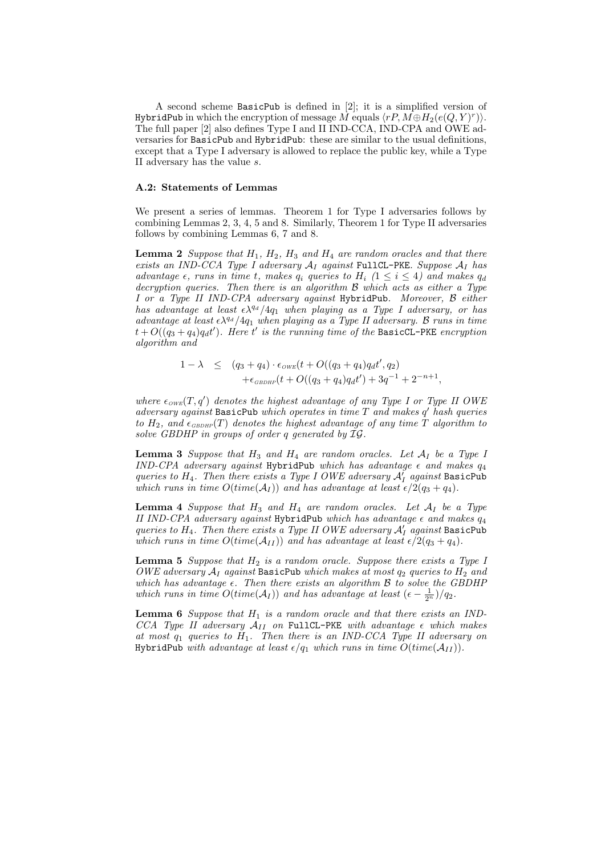A second scheme BasicPub is defined in [2]; it is a simplified version of <code>HybridPub</code> in which the encryption of message  $\dot{M}$  equals  $\langle rP, \dot{M\oplus H_2}(e(Q, Y)^r)\rangle.$ The full paper [2] also defines Type I and II IND-CCA, IND-CPA and OWE adversaries for BasicPub and HybridPub: these are similar to the usual definitions, except that a Type I adversary is allowed to replace the public key, while a Type II adversary has the value s.

#### A.2: Statements of Lemmas

We present a series of lemmas. Theorem 1 for Type I adversaries follows by combining Lemmas 2, 3, 4, 5 and 8. Similarly, Theorem 1 for Type II adversaries follows by combining Lemmas 6, 7 and 8.

**Lemma 2** Suppose that  $H_1$ ,  $H_2$ ,  $H_3$  and  $H_4$  are random oracles and that there exists an IND-CCA Type I adversary  $A_I$  against FullCL-PKE. Suppose  $A_I$  has advantage  $\epsilon$ , runs in time t, makes  $q_i$  queries to  $H_i$  ( $1 \leq i \leq 4$ ) and makes  $q_d$ decryption queries. Then there is an algorithm B which acts as either a Type I or a Type II IND-CPA adversary against HybridPub. Moreover, B either has advantage at least  $\epsilon \lambda^{q_d}/4q_1$  when playing as a Type I adversary, or has advantage at least  $\epsilon \lambda^{q_d}/4q_1$  when playing as a Type II adversary. B runs in time  $t + O((q_3 + q_4)q_d t')$ . Here t' is the running time of the BasicCL-PKE encryption algorithm and

$$
1 - \lambda \le (q_3 + q_4) \cdot \epsilon_{\text{OWE}}(t + O((q_3 + q_4)q_d t', q_2) + \epsilon_{\text{GBDHP}}(t + O((q_3 + q_4)q_d t') + 3q^{-1} + 2^{-n+1},
$$

where  $\epsilon_{OWE}(T, q')$  denotes the highest advantage of any Type I or Type II OWE adversary against BasicPub which operates in time  $T$  and makes  $q'$  hash queries to  $H_2$ , and  $\epsilon_{GBDHP}(T)$  denotes the highest advantage of any time T algorithm to solve GBDHP in groups of order q generated by  $IG$ .

**Lemma 3** Suppose that  $H_3$  and  $H_4$  are random oracles. Let  $A_I$  be a Type I IND-CPA adversary against HybridPub which has advantage  $\epsilon$  and makes  $q_4$ queries to  $H_4$ . Then there exists a Type I OWE adversary  $\mathcal{A}_I^{\prime}$  against BasicPub which runs in time  $O(time(\mathcal{A}_I))$  and has advantage at least  $\epsilon/2(q_3 + q_4)$ .

**Lemma 4** Suppose that  $H_3$  and  $H_4$  are random oracles. Let  $A_I$  be a Type II IND-CPA adversary against HybridPub which has advantage  $\epsilon$  and makes  $q_4$ queries to  $H_4$ . Then there exists a Type II OWE adversary  $A'_I$  against BasicPub which runs in time  $O(\text{time}(\mathcal{A}_{II}))$  and has advantage at least  $\epsilon/2(q_3 + q_4)$ .

**Lemma 5** Suppose that  $H_2$  is a random oracle. Suppose there exists a Type I OWE adversary  $A_I$  against BasicPub which makes at most  $q_2$  queries to  $H_2$  and which has advantage  $\epsilon$ . Then there exists an algorithm  $\beta$  to solve the GBDHP which runs in time  $O(time(\mathcal{A}_I))$  and has advantage at least  $(\epsilon - \frac{1}{2^n})/q_2$ .

**Lemma 6** Suppose that  $H_1$  is a random oracle and that there exists an IND-CCA Type II adversary  $A_{II}$  on FullCL-PKE with advantage  $\epsilon$  which makes at most  $q_1$  queries to  $H_1$ . Then there is an IND-CCA Type II adversary on HybridPub with advantage at least  $\epsilon/q_1$  which runs in time  $O(time(\mathcal{A}_{II}))$ .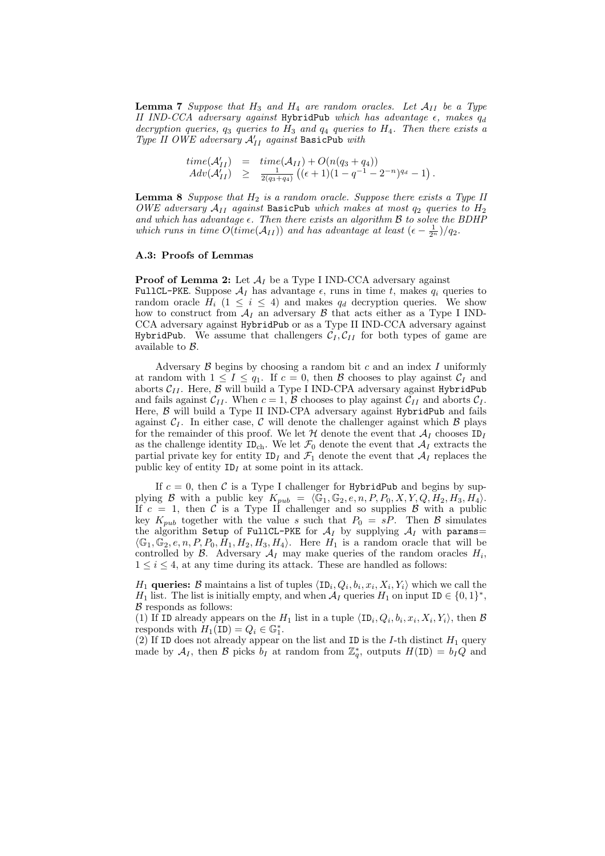**Lemma 7** Suppose that  $H_3$  and  $H_4$  are random oracles. Let  $A_{II}$  be a Type II IND-CCA adversary against HybridPub which has advantage  $\epsilon$ , makes  $q_d$ decryption queries,  $q_3$  queries to  $H_3$  and  $q_4$  queries to  $H_4$ . Then there exists a Type II OWE adversary  $A'_{II}$  against BasicPub with

$$
time(\mathcal{A}'_{II}) = time(\mathcal{A}_{II}) + O(n(q_3 + q_4))
$$
  
 
$$
Adv(\mathcal{A}'_{II}) \ge \frac{1}{2(q_3 + q_4)}((\epsilon + 1)(1 - q^{-1} - 2^{-n})^{q_d} - 1).
$$

**Lemma 8** Suppose that  $H_2$  is a random oracle. Suppose there exists a Type II OWE adversary  $A_{II}$  against BasicPub which makes at most  $q_2$  queries to  $H_2$ and which has advantage  $\epsilon$ . Then there exists an algorithm  $\beta$  to solve the BDHP which runs in time  $O(\text{time}(\mathcal{A}_{II}))$  and has advantage at least  $(\epsilon - \frac{1}{2^n})/q_2$ .

#### A.3: Proofs of Lemmas

**Proof of Lemma 2:** Let  $A_I$  be a Type I IND-CCA adversary against FullCL-PKE. Suppose  $A_I$  has advantage  $\epsilon$ , runs in time t, makes  $q_i$  queries to random oracle  $H_i$  (1  $\leq i \leq 4$ ) and makes  $q_d$  decryption queries. We show how to construct from  $A_I$  an adversary  $\beta$  that acts either as a Type I IND-CCA adversary against HybridPub or as a Type II IND-CCA adversary against HybridPub. We assume that challengers  $C_I, C_{II}$  for both types of game are available to B.

Adversary  $\beta$  begins by choosing a random bit c and an index I uniformly at random with  $1 \leq I \leq q_1$ . If  $c = 0$ , then  $\beta$  chooses to play against  $\mathcal{C}_I$  and aborts $\mathcal{C}_{II}.$  Here,  $\mathcal B$  will build a Type I IND-CPA adversary against <code>HybridPub</code> and fails against  $C_{II}$ . When  $c = 1$ ,  $\beta$  chooses to play against  $C_{II}$  and aborts  $C_I$ . Here,  $\beta$  will build a Type II IND-CPA adversary against HybridPub and fails against  $C_I$ . In either case, C will denote the challenger against which B plays for the remainder of this proof. We let  $\mathcal H$  denote the event that  $\mathcal A_I$  chooses ID<sub>I</sub> as the challenge identity  $ID_{ch}$ . We let  $\mathcal{F}_0$  denote the event that  $\mathcal{A}_I$  extracts the partial private key for entity  $ID_I$  and  $\mathcal{F}_1$  denote the event that  $\mathcal{A}_I$  replaces the public key of entity  $ID<sub>I</sub>$  at some point in its attack.

If  $c = 0$ , then C is a Type I challenger for HybridPub and begins by supplying B with a public key  $K_{pub} = \langle \mathbb{G}_1, \mathbb{G}_2, e, n, P, P_0, X, Y, Q, H_2, H_3, H_4 \rangle.$ If  $c = 1$ , then C is a Type II challenger and so supplies B with a public key  $K_{pub}$  together with the value s such that  $P_0 = sP$ . Then B simulates the algorithm Setup of FullCL-PKE for  $A_I$  by supplying  $A_I$  with params=  $\langle \mathbb{G}_1, \mathbb{G}_2, e, n, P, P_0, H_1, H_2, H_3, H_4 \rangle$ . Here  $H_1$  is a random oracle that will be controlled by  $\mathcal{B}$ . Adversary  $\mathcal{A}_I$  may make queries of the random oracles  $H_i$ ,  $1 \leq i \leq 4$ , at any time during its attack. These are handled as follows:

 $H_1$  queries: B maintains a list of tuples  $\langle \text{ID}_i, Q_i, b_i, x_i, X_i, Y_i \rangle$  which we call the  $H_1$  list. The list is initially empty, and when  $\mathcal{A}_I$  queries  $H_1$  on input ID  $\in \{0,1\}^*$ ,  $\beta$  responds as follows:

(1) If ID already appears on the  $H_1$  list in a tuple  $\langle \text{ID}_i, Q_i, b_i, x_i, X_i, Y_i \rangle$ , then  $\mathcal B$ responds with  $H_1(\text{ID}) = Q_i \in \mathbb{G}_1^*$ .

(2) If ID does not already appear on the list and ID is the I-th distinct  $H_1$  query made by  $\mathcal{A}_I$ , then  $\mathcal B$  picks  $b_I$  at random from  $\mathbb{Z}_q^*$ , outputs  $H(\text{ID}) = b_I Q$  and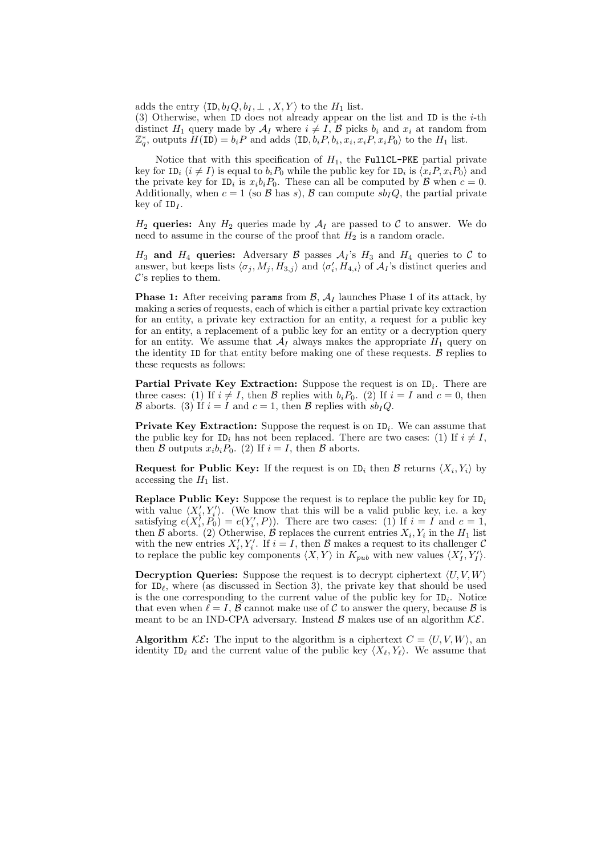adds the entry  $\langle \text{ID}, b_I Q, b_I, \perp, X, Y \rangle$  to the  $H_1$  list.

(3) Otherwise, when ID does not already appear on the list and ID is the  $i$ -th distinct  $H_1$  query made by  $\mathcal{A}_I$  where  $i \neq I$ ,  $\mathcal{B}$  picks  $b_i$  and  $x_i$  at random from  $\mathbb{Z}_q^*$ , outputs  $H(\texttt{ID}) = b_i P$  and adds  $\langle \texttt{ID}, b_i P, b_i, x_i, x_i P, x_i P_0 \rangle$  to the  $H_1$  list.

Notice that with this specification of  $H_1$ , the FullCL-PKE partial private key for ID<sub>i</sub>  $(i \neq I)$  is equal to  $b_i P_0$  while the public key for ID<sub>i</sub> is  $\langle x_i P, x_i P_0 \rangle$  and the private key for  $ID_i$  is  $x_ib_iP_0$ . These can all be computed by  $\mathcal{B}$  when  $c = 0$ . Additionally, when  $c = 1$  (so  $\beta$  has s),  $\beta$  can compute  $sb<sub>I</sub>Q$ , the partial private key of  $ID<sub>I</sub>$ .

 $H_2$  queries: Any  $H_2$  queries made by  $\mathcal{A}_I$  are passed to C to answer. We do need to assume in the course of the proof that  $H_2$  is a random oracle.

 $H_3$  and  $H_4$  queries: Adversary  $\beta$  passes  $\mathcal{A}_I$ 's  $H_3$  and  $H_4$  queries to  $\mathcal C$  to answer, but keeps lists  $\langle \sigma_j, M_j, H_{3,j} \rangle$  and  $\langle \sigma'_i, H_{4,i} \rangle$  of  $\mathcal{A}_I$ 's distinct queries and  $\mathcal{C}$ 's replies to them.

**Phase 1:** After receiving params from  $\mathcal{B}$ ,  $\mathcal{A}_I$  launches Phase 1 of its attack, by making a series of requests, each of which is either a partial private key extraction for an entity, a private key extraction for an entity, a request for a public key for an entity, a replacement of a public key for an entity or a decryption query for an entity. We assume that  $A_I$  always makes the appropriate  $H_1$  query on the identity ID for that entity before making one of these requests.  $\beta$  replies to these requests as follows:

Partial Private Key Extraction: Suppose the request is on  $ID_i$ . There are three cases: (1) If  $i \neq I$ , then B replies with  $b_i P_0$ . (2) If  $i = I$  and  $c = 0$ , then B aborts. (3) If  $i = I$  and  $c = 1$ , then B replies with  $s b_I Q$ .

**Private Key Extraction:** Suppose the request is on  $ID_i$ . We can assume that the public key for  $ID_i$  has not been replaced. There are two cases: (1) If  $i \neq I$ , then B outputs  $x_i b_i P_0$ . (2) If  $i = I$ , then B aborts.

**Request for Public Key:** If the request is on  $ID_i$  then B returns  $\langle X_i, Y_i \rangle$  by accessing the  $H_1$  list.

**Replace Public Key:** Suppose the request is to replace the public key for  $ID_i$ with value  $\langle X'_i, Y'_i \rangle$ . (We know that this will be a valid public key, i.e. a key satisfying  $e(X_i^j, P_0) = e(Y_i', P)$ . There are two cases: (1) If  $i = I$  and  $c = 1$ , then B aborts. (2) Otherwise, B replaces the current entries  $X_i, Y_i$  in the  $H_1$  list with the new entries  $X'_i, Y'_i$ . If  $i = I$ , then  $\beta$  makes a request to its challenger  $\beta$ to replace the public key components  $\langle X, Y \rangle$  in  $K_{pub}$  with new values  $\langle X'_I, Y'_I \rangle$ .

**Decryption Queries:** Suppose the request is to decrypt ciphertext  $\langle U, V, W \rangle$ for  $ID_\ell$ , where (as discussed in Section 3), the private key that should be used is the one corresponding to the current value of the public key for  $ID_i$ . Notice that even when  $\ell = I$ ,  $\beta$  cannot make use of C to answer the query, because  $\beta$  is meant to be an IND-CPA adversary. Instead  $\beta$  makes use of an algorithm  $\mathcal{KE}$ .

**Algorithm** KE: The input to the algorithm is a ciphertext  $C = \langle U, V, W \rangle$ , an identity  $ID_\ell$  and the current value of the public key  $\langle X_\ell, Y_\ell \rangle$ . We assume that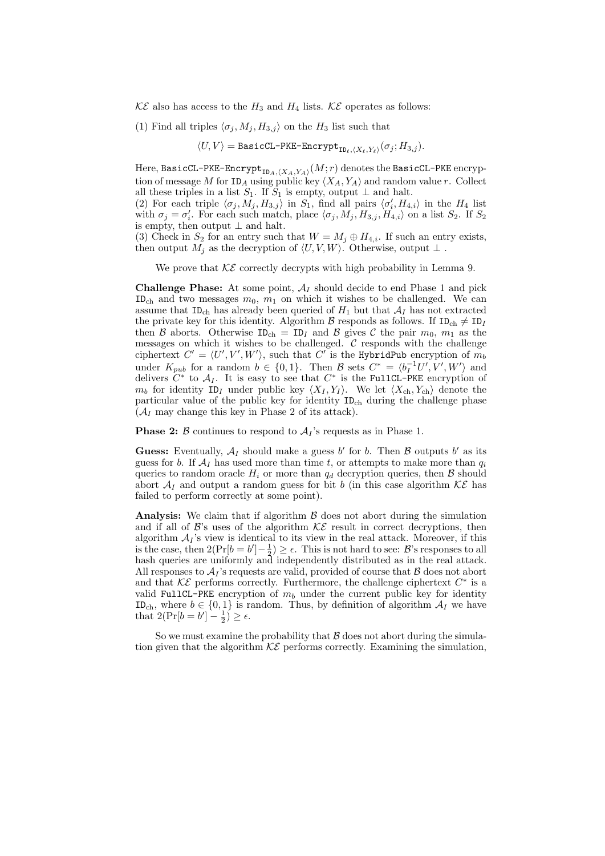$\mathcal{KE}$  also has access to the  $H_3$  and  $H_4$  lists.  $\mathcal{KE}$  operates as follows:

(1) Find all triples  $\langle \sigma_j, M_j, H_{3,j} \rangle$  on the  $H_3$  list such that

 $\langle U,V\rangle = \texttt{BasicCL-PKE-Encrypt}_{\texttt{ID}_\ell,\langle X_\ell,Y_\ell\rangle}(\sigma_j;H_{3,j}).$ 

Here,  ${\tt BasicCL-PKE-Encrypt}_{\verb"ID_A,\langle X_A,Y_A\rangle}(M;r)$  denotes the  ${\tt BasicCL-PKE}$  encryption of message M for  $ID_A$  using public key  $\langle X_A, Y_A \rangle$  and random value r. Collect all these triples in a list  $S_1$ . If  $S_1$  is empty, output  $\perp$  and halt.

(2) For each triple  $\langle \sigma_j, M_j, H_{3,j} \rangle$  in  $S_1$ , find all pairs  $\langle \sigma'_i, H_{4,i} \rangle$  in the  $H_4$  list with  $\sigma_j = \sigma'_i$ . For each such match, place  $\langle \sigma_j, M_j, H_{3,j}, H_{4,i} \rangle$  on a list  $S_2$ . If  $S_2$ is empty, then output  $\perp$  and halt.

(3) Check in  $S_2$  for an entry such that  $W = M_j \oplus H_{4,i}$ . If such an entry exists, then output  $M_j$  as the decryption of  $\langle U, V, W \rangle$ . Otherwise, output ⊥.

We prove that  $K\mathcal{E}$  correctly decrypts with high probability in Lemma 9.

**Challenge Phase:** At some point,  $A_I$  should decide to end Phase 1 and pick ID<sub>ch</sub> and two messages  $m_0$ ,  $m_1$  on which it wishes to be challenged. We can assume that ID<sub>ch</sub> has already been queried of  $H_1$  but that  $A_I$  has not extracted the private key for this identity. Algorithm  $\mathcal B$  responds as follows. If  $ID_{ch} \neq ID_I$ then B aborts. Otherwise  $ID_{ch} = ID_I$  and B gives C the pair  $m_0$ ,  $m_1$  as the messages on which it wishes to be challenged.  $\mathcal C$  responds with the challenge ciphertext  $C' = \langle U', V', W' \rangle$ , such that C' is the HybridPub encryption of  $m_b$ under  $K_{pub}$  for a random  $b \in \{0,1\}$ . Then  $\mathcal{B}$  sets  $C^* = \langle b_I^{-1}U', V', W' \rangle$  and delivers  $C^*$  to  $\mathcal{A}_I$ . It is easy to see that  $C^*$  is the FullCL-PKE encryption of  $m_b$  for identity  $ID_I$  under public key  $\langle X_I, Y_I \rangle$ . We let  $\langle X_{ch}, Y_{ch} \rangle$  denote the particular value of the public key for identity IDch during the challenge phase  $(\mathcal{A}_I$  may change this key in Phase 2 of its attack).

**Phase 2:**  $\beta$  continues to respond to  $\mathcal{A}_I$ 's requests as in Phase 1.

**Guess:** Eventually,  $A_I$  should make a guess b' for b. Then  $\beta$  outputs b' as its guess for b. If  $A_I$  has used more than time t, or attempts to make more than  $q_i$ queries to random oracle  $H_i$  or more than  $q_d$  decryption queries, then  $\beta$  should abort  $A_I$  and output a random guess for bit b (in this case algorithm  $K\mathcal{E}$  has failed to perform correctly at some point).

Analysis: We claim that if algorithm  $\beta$  does not abort during the simulation and if all of  $\mathcal{B}$ 's uses of the algorithm  $\mathcal{KE}$  result in correct decryptions, then algorithm  $A_I$ 's view is identical to its view in the real attack. Moreover, if this is the case, then  $2(\Pr[b = b'] - \frac{1}{2}) \ge \epsilon$ . This is not hard to see: B's responses to all hash queries are uniformly and independently distributed as in the real attack. All responses to  $A_I$ 's requests are valid, provided of course that  $B$  does not abort and that  $K\mathcal{E}$  performs correctly. Furthermore, the challenge ciphertext  $C^*$  is a valid FullCL-PKE encryption of  $m_b$  under the current public key for identity ID<sub>ch</sub>, where  $b \in \{0,1\}$  is random. Thus, by definition of algorithm  $\mathcal{A}_I$  we have that  $2(\Pr[b = b'] - \frac{1}{2}) \ge \epsilon$ .

So we must examine the probability that  $\beta$  does not abort during the simulation given that the algorithm  $\mathcal{KE}$  performs correctly. Examining the simulation,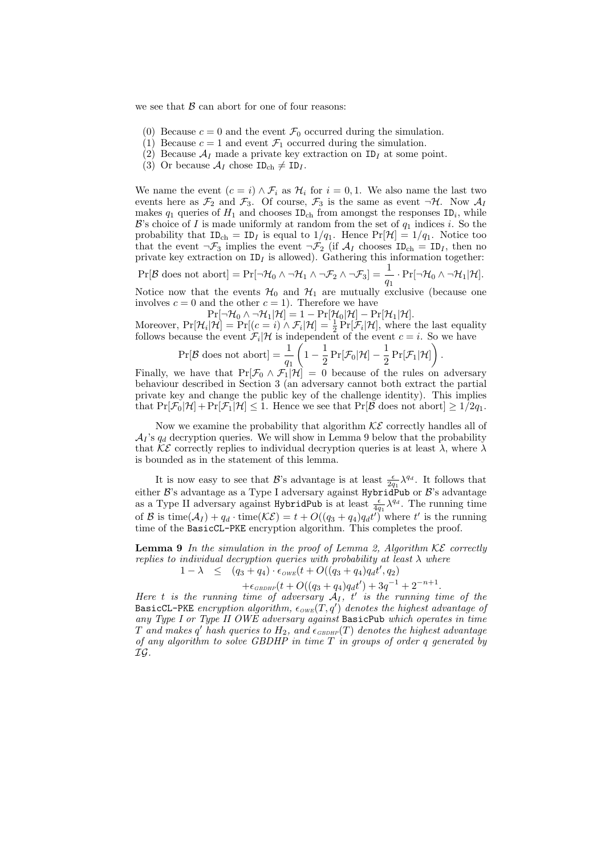we see that  $\beta$  can abort for one of four reasons:

- (0) Because  $c = 0$  and the event  $\mathcal{F}_0$  occurred during the simulation.
- (1) Because  $c = 1$  and event  $\mathcal{F}_1$  occurred during the simulation.
- (2) Because  $\mathcal{A}_I$  made a private key extraction on ID<sub>I</sub> at some point.
- (3) Or because  $\mathcal{A}_I$  chose  $ID_{ch} \neq ID_I$ .

We name the event  $(c = i) \wedge \mathcal{F}_i$  as  $\mathcal{H}_i$  for  $i = 0, 1$ . We also name the last two events here as  $\mathcal{F}_2$  and  $\mathcal{F}_3$ . Of course,  $\mathcal{F}_3$  is the same as event  $\neg \mathcal{H}$ . Now  $\mathcal{A}_I$ makes  $q_1$  queries of  $H_1$  and chooses  $ID_{ch}$  from amongst the responses  $ID_i$ , while  $\mathcal{B}'$ 's choice of I is made uniformly at random from the set of  $q_1$  indices i. So the probability that  $ID_{ch} = ID_I$  is equal to  $1/q_1$ . Hence  $Pr[\mathcal{H}] = 1/q_1$ . Notice too that the event  $\neg \mathcal{F}_3$  implies the event  $\neg \mathcal{F}_2$  (if  $\mathcal{A}_I$  chooses  $ID_{ch} = ID_I$ , then no private key extraction on  $ID_I$  is allowed). Gathering this information together:

 $Pr[\mathcal{B} \text{ does not abort}] = Pr[\neg \mathcal{H}_0 \wedge \neg \mathcal{H}_1 \wedge \neg \mathcal{F}_2 \wedge \neg \mathcal{F}_3] = \frac{1}{q_1} \cdot Pr[\neg \mathcal{H}_0 \wedge \neg \mathcal{H}_1 | \mathcal{H}].$ 

Notice now that the events  $\mathcal{H}_0$  and  $\mathcal{H}_1$  are mutually exclusive (because one involves  $c = 0$  and the other  $c = 1$ . Therefore we have

 $Pr[\neg \mathcal{H}_0 \wedge \neg \mathcal{H}_1 | \mathcal{H}] = 1 - Pr[\mathcal{H}_0 | \mathcal{H}] - Pr[\mathcal{H}_1 | \mathcal{H}].$ 

Moreover,  $Pr[\mathcal{H}_i | \mathcal{H}] = Pr[(c = i) \land \mathcal{F}_i | \mathcal{H}] = \frac{1}{2} Pr[\mathcal{F}_i | \mathcal{H}],$  where the last equality follows because the event  $\mathcal{F}_i|\mathcal{H}$  is independent of the event  $c = i$ . So we have

$$
\Pr[\mathcal{B} \text{ does not abort}] = \frac{1}{q_1} \left( 1 - \frac{1}{2} \Pr[\mathcal{F}_0 | \mathcal{H}] - \frac{1}{2} \Pr[\mathcal{F}_1 | \mathcal{H}] \right).
$$

Finally, we have that  $Pr[\mathcal{F}_0 \wedge \mathcal{F}_1 | \mathcal{H}] = 0$  because of the rules on adversary behaviour described in Section 3 (an adversary cannot both extract the partial private key and change the public key of the challenge identity). This implies that  $Pr[\mathcal{F}_0|\mathcal{H}] + Pr[\mathcal{F}_1|\mathcal{H}] \leq 1$ . Hence we see that  $Pr[\mathcal{B}]$  does not abort  $] \geq 1/2q_1$ .

Now we examine the probability that algorithm  $K\mathcal{E}$  correctly handles all of  $\mathcal{A}_I$ 's  $q_d$  decryption queries. We will show in Lemma 9 below that the probability that  $K\mathcal{E}$  correctly replies to individual decryption queries is at least  $\lambda$ , where  $\lambda$ is bounded as in the statement of this lemma.

It is now easy to see that  $\mathcal{B}$ 's advantage is at least  $\frac{\epsilon}{2q_1} \lambda^{q_d}$ . It follows that either  $\mathcal{B}$ 's advantage as a Type I adversary against HybridPub or  $\mathcal{B}$ 's advantage as a Type II adversary against HybridPub is at least  $\frac{\epsilon}{4q_1} \lambda^{q_d}$ . The running time of B is time( $A_I$ ) +  $q_d \cdot \text{time}(\mathcal{KE}) = t + O((q_3 + q_4)q_d t')$  where t' is the running time of the BasicCL-PKE encryption algorithm. This completes the proof.

**Lemma 9** In the simulation in the proof of Lemma 2, Algorithm  $KE$  correctly replies to individual decryption queries with probability at least  $\lambda$  where  $1 - \lambda \leq (q_3 + q_4) \cdot \epsilon_{OWE}(t + O((q_3 + q_4)q_d t', q_2))$ 

$$
+\epsilon_{GBDHP}(t+O((q_3+q_4)q_dt')+3q^{-1}+2^{-n+1}.
$$

Here t is the running time of adversary  $A_I$ , t' is the running time of the BasicCL-PKE encryption algorithm,  $\epsilon_{\text{OWE}}(T, q')$  denotes the highest advantage of any Type I or Type II OWE adversary against BasicPub which operates in time  $T$  and makes  $q'$  hash queries to  $H_2$ , and  $\epsilon_{\scriptscriptstyle GBDHP}(T)$  denotes the highest advantage of any algorithm to solve GBDHP in time  $T$  in groups of order  $q$  generated by IG.